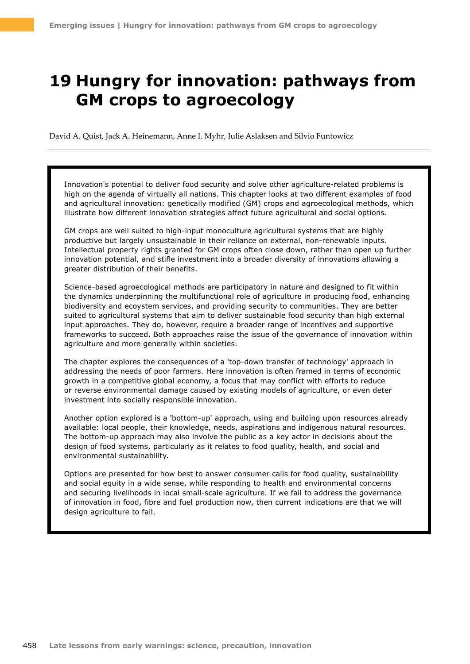# **19 Hungry for innovation: pathways from GM crops to agroecology**

David A. Quist, Jack A. Heinemann, Anne I. Myhr, Iulie Aslaksen and Silvio Funtowicz

Innovation's potential to deliver food security and solve other agriculture-related problems is high on the agenda of virtually all nations. This chapter looks at two different examples of food and agricultural innovation: genetically modified (GM) crops and agroecological methods, which illustrate how different innovation strategies affect future agricultural and social options.

GM crops are well suited to high-input monoculture agricultural systems that are highly productive but largely unsustainable in their reliance on external, non-renewable inputs. Intellectual property rights granted for GM crops often close down, rather than open up further innovation potential, and stifle investment into a broader diversity of innovations allowing a greater distribution of their benefits.

Science-based agroecological methods are participatory in nature and designed to fit within the dynamics underpinning the multifunctional role of agriculture in producing food, enhancing biodiversity and ecoystem services, and providing security to communities. They are better suited to agricultural systems that aim to deliver sustainable food security than high external input approaches. They do, however, require a broader range of incentives and supportive frameworks to succeed. Both approaches raise the issue of the governance of innovation within agriculture and more generally within societies.

The chapter explores the consequences of a 'top-down transfer of technology' approach in addressing the needs of poor farmers. Here innovation is often framed in terms of economic growth in a competitive global economy, a focus that may conflict with efforts to reduce or reverse environmental damage caused by existing models of agriculture, or even deter investment into socially responsible innovation.

Another option explored is a 'bottom-up' approach, using and building upon resources already available: local people, their knowledge, needs, aspirations and indigenous natural resources. The bottom-up approach may also involve the public as a key actor in decisions about the design of food systems, particularly as it relates to food quality, health, and social and environmental sustainability.

Options are presented for how best to answer consumer calls for food quality, sustainability and social equity in a wide sense, while responding to health and environmental concerns and securing livelihoods in local small-scale agriculture. If we fail to address the governance of innovation in food, fibre and fuel production now, then current indications are that we will design agriculture to fail.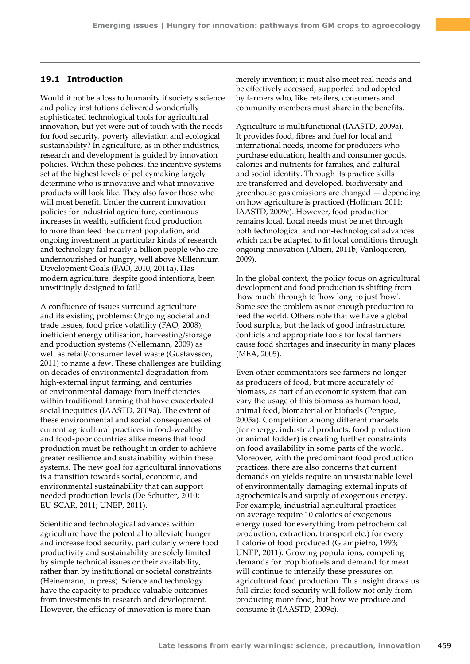## **19.1 Introduction**

Would it not be a loss to humanity if society's science and policy institutions delivered wonderfully sophisticated technological tools for agricultural innovation, but yet were out of touch with the needs for food security, poverty alleviation and ecological sustainability? In agriculture, as in other industries, research and development is guided by innovation policies. Within these policies, the incentive systems set at the highest levels of policymaking largely determine who is innovative and what innovative products will look like. They also favor those who will most benefit. Under the current innovation policies for industrial agriculture, continuous increases in wealth, sufficient food production to more than feed the current population, and ongoing investment in particular kinds of research and technology fail nearly a billion people who are undernourished or hungry, well above Millennium Development Goals (FAO, 2010, 2011a). Has modern agriculture, despite good intentions, been unwittingly designed to fail?

A confluence of issues surround agriculture and its existing problems: Ongoing societal and trade issues, food price volatility (FAO, 2008), inefficient energy utilisation, harvesting/storage and production systems (Nellemann, 2009) as well as retail/consumer level waste (Gustavsson, 2011) to name a few. These challenges are building on decades of environmental degradation from high-external input farming, and centuries of environmental damage from inefficiencies within traditional farming that have exacerbated social inequities (IAASTD, 2009a). The extent of these environmental and social consequences of current agricultural practices in food-wealthy and food-poor countries alike means that food production must be rethought in order to achieve greater resilience and sustainability within these systems. The new goal for agricultural innovations is a transition towards social, economic, and environmental sustainability that can support needed production levels (De Schutter, 2010; EU-SCAR, 2011; UNEP, 2011).

Scientific and technological advances within agriculture have the potential to alleviate hunger and increase food security, particularly where food productivity and sustainability are solely limited by simple technical issues or their availability, rather than by institutional or societal constraints (Heinemann, in press). Science and technology have the capacity to produce valuable outcomes from investments in research and development. However, the efficacy of innovation is more than

merely invention; it must also meet real needs and be effectively accessed, supported and adopted by farmers who, like retailers, consumers and community members must share in the benefits.

Agriculture is multifunctional (IAASTD, 2009a). It provides food, fibres and fuel for local and international needs, income for producers who purchase education, health and consumer goods, calories and nutrients for families, and cultural and social identity. Through its practice skills are transferred and developed, biodiversity and greenhouse gas emissions are changed — depending on how agriculture is practiced (Hoffman, 2011; IAASTD, 2009c). However, food production remains local. Local needs must be met through both technological and non-technological advances which can be adapted to fit local conditions through ongoing innovation (Altieri, 2011b; Vanloqueren, 2009).

In the global context, the policy focus on agricultural development and food production is shifting from 'how much' through to 'how long' to just 'how'. Some see the problem as not enough production to feed the world. Others note that we have a global food surplus, but the lack of good infrastructure, conflicts and appropriate tools for local farmers cause food shortages and insecurity in many places (MEA, 2005).

Even other commentators see farmers no longer as producers of food, but more accurately of biomass, as part of an economic system that can vary the usage of this biomass as human food, animal feed, biomaterial or biofuels (Pengue, 2005a). Competition among different markets (for energy, industrial products, food production or animal fodder) is creating further constraints on food availability in some parts of the world. Moreover, with the predominant food production practices, there are also concerns that current demands on yields require an unsustainable level of environmentally damaging external inputs of agrochemicals and supply of exogenous energy. For example, industrial agricultural practices on average require 10 calories of exogenous energy (used for everything from petrochemical production, extraction, transport etc.) for every 1 calorie of food produced (Giampietro, 1993; UNEP, 2011). Growing populations, competing demands for crop biofuels and demand for meat will continue to intensify these pressures on agricultural food production. This insight draws us full circle: food security will follow not only from producing more food, but how we produce and consume it (IAASTD, 2009c).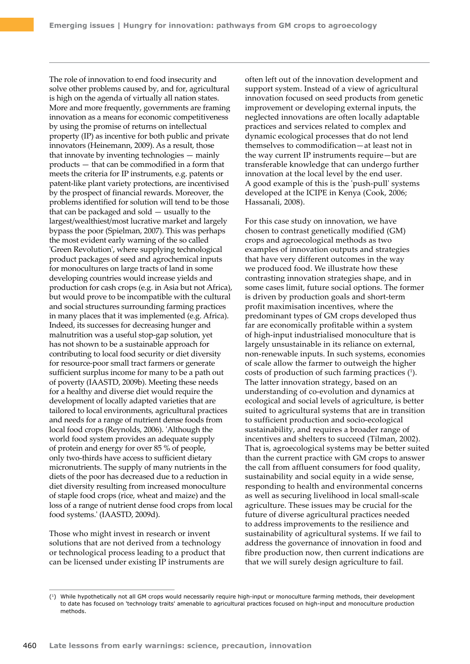The role of innovation to end food insecurity and solve other problems caused by, and for, agricultural is high on the agenda of virtually all nation states. More and more frequently, governments are framing innovation as a means for economic competitiveness by using the promise of returns on intellectual property (IP) as incentive for both public and private innovators (Heinemann, 2009). As a result, those that innovate by inventing technologies — mainly products — that can be commodified in a form that meets the criteria for IP instruments, e.g. patents or patent-like plant variety protections, are incentivised by the prospect of financial rewards. Moreover, the problems identified for solution will tend to be those that can be packaged and sold — usually to the largest/wealthiest/most lucrative market and largely bypass the poor (Spielman, 2007). This was perhaps the most evident early warning of the so called 'Green Revolution', where supplying technological product packages of seed and agrochemical inputs for monocultures on large tracts of land in some developing countries would increase yields and production for cash crops (e.g. in Asia but not Africa), but would prove to be incompatible with the cultural and social structures surrounding farming practices in many places that it was implemented (e.g. Africa). Indeed, its successes for decreasing hunger and malnutrition was a useful stop-gap solution, yet has not shown to be a sustainable approach for contributing to local food security or diet diversity for resource-poor small tract farmers or generate sufficient surplus income for many to be a path out of poverty (IAASTD, 2009b). Meeting these needs for a healthy and diverse diet would require the development of locally adapted varieties that are tailored to local environments, agricultural practices and needs for a range of nutrient dense foods from local food crops (Reynolds, 2006). 'Although the world food system provides an adequate supply of protein and energy for over 85 % of people, only two-thirds have access to sufficient dietary micronutrients. The supply of many nutrients in the diets of the poor has decreased due to a reduction in diet diversity resulting from increased monoculture of staple food crops (rice, wheat and maize) and the loss of a range of nutrient dense food crops from local food systems.' (IAASTD, 2009d).

Those who might invest in research or invent solutions that are not derived from a technology or technological process leading to a product that can be licensed under existing IP instruments are

often left out of the innovation development and support system. Instead of a view of agricultural innovation focused on seed products from genetic improvement or developing external inputs, the neglected innovations are often locally adaptable practices and services related to complex and dynamic ecological processes that do not lend themselves to commodification—at least not in the way current IP instruments require—but are transferable knowledge that can undergo further innovation at the local level by the end user. A good example of this is the 'push-pull' systems developed at the ICIPE in Kenya (Cook, 2006; Hassanali, 2008).

For this case study on innovation, we have chosen to contrast genetically modified (GM) crops and agroecological methods as two examples of innovation outputs and strategies that have very different outcomes in the way we produced food. We illustrate how these contrasting innovation strategies shape, and in some cases limit, future social options. The former is driven by production goals and short-term profit maximisation incentives, where the predominant types of GM crops developed thus far are economically profitable within a system of high-input industrialised monoculture that is largely unsustainable in its reliance on external, non-renewable inputs. In such systems, economies of scale allow the farmer to outweigh the higher costs of production of such farming practices (1 ). The latter innovation strategy, based on an understanding of co-evolution and dynamics at ecological and social levels of agriculture, is better suited to agricultural systems that are in transition to sufficient production and socio-ecological sustainability, and requires a broader range of incentives and shelters to succeed (Tilman, 2002). That is, agroecological systems may be better suited than the current practice with GM crops to answer the call from affluent consumers for food quality, sustainability and social equity in a wide sense, responding to health and environmental concerns as well as securing livelihood in local small-scale agriculture. These issues may be crucial for the future of diverse agricultural practices needed to address improvements to the resilience and sustainability of agricultural systems. If we fail to address the governance of innovation in food and fibre production now, then current indications are that we will surely design agriculture to fail.

<sup>(1)</sup> While hypothetically not all GM crops would necessarily require high-input or monoculture farming methods, their development to date has focused on 'technology traits' amenable to agricultural practices focused on high-input and monoculture production methods.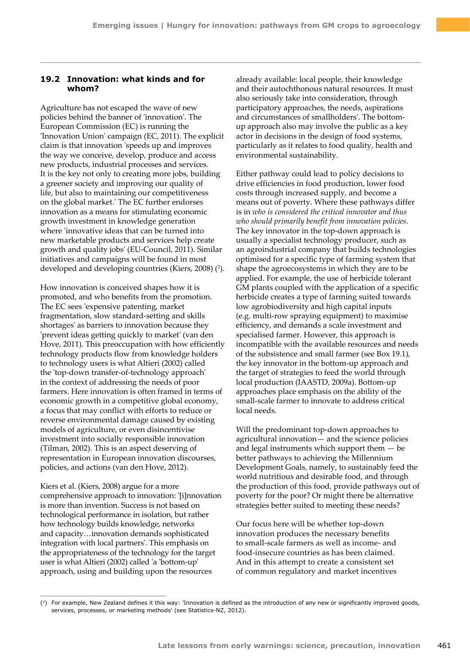## **19.2 Innovation: what kinds and for whom?**

Agriculture has not escaped the wave of new policies behind the banner of 'innovation'. The European Commission (EC) is running the 'Innovation Union' campaign (EC, 2011). The explicit claim is that innovation 'speeds up and improves the way we conceive, develop, produce and access new products, industrial processes and services. It is the key not only to creating more jobs, building a greener society and improving our quality of life, but also to maintaining our competitiveness on the global market.' The EC further endorses innovation as a means for stimulating economic growth investment in knowledge generation where 'innovative ideas that can be turned into new marketable products and services help create growth and quality jobs' (EU-Council, 2011). Similar initiatives and campaigns will be found in most developed and developing countries (Kiers, 2008) (2).

How innovation is conceived shapes how it is promoted, and who benefits from the promotion. The EC sees 'expensive patenting, market fragmentation, slow standard-setting and skills shortages' as barriers to innovation because they 'prevent ideas getting quickly to market' (van den Hove, 2011). This preoccupation with how efficiently technology products flow from knowledge holders to technology users is what Altieri (2002) called the 'top-down transfer-of-technology approach' in the context of addressing the needs of poor farmers. Here innovation is often framed in terms of economic growth in a competitive global economy, a focus that may conflict with efforts to reduce or reverse environmental damage caused by existing models of agriculture, or even disincentivise investment into socially responsible innovation (Tilman, 2002). This is an aspect deserving of representation in European innovation discourses, policies, and actions (van den Hove, 2012).

Kiers et al. (Kiers, 2008) argue for a more comprehensive approach to innovation: '[i]nnovation is more than invention. Success is not based on technological performance in isolation, but rather how technology builds knowledge, networks and capacity…innovation demands sophisticated integration with local partners'. This emphasis on the appropriateness of the technology for the target user is what Altieri (2002) called 'a 'bottom-up' approach, using and building upon the resources

already available: local people, their knowledge and their autochthonous natural resources. It must also seriously take into consideration, through participatory approaches, the needs, aspirations and circumstances of smallholders'. The bottomup approach also may involve the public as a key actor in decisions in the design of food systems, particularly as it relates to food quality, health and environmental sustainability.

Either pathway could lead to policy decisions to drive efficiencies in food production, lower food costs through increased supply, and become a means out of poverty. Where these pathways differ is in *who is considered the critical innovator and thus who should primarily benefit from innovation policies*. The key innovator in the top-down approach is usually a specialist technology producer, such as an agroindustrial company that builds technologies optimised for a specific type of farming system that shape the agroecosystems in which they are to be applied. For example, the use of herbicide tolerant GM plants coupled with the application of a specific herbicide creates a type of farming suited towards low agrobiodiversity and high capital inputs (e.g. multi-row spraying equipment) to maximise efficiency, and demands a scale investment and specialised farmer. However, this approach is incompatible with the available resources and needs of the subsistence and small farmer (see Box 19.1), the key innovator in the bottom-up approach and the target of strategies to feed the world through local production (IAASTD, 2009a). Bottom-up approaches place emphasis on the ability of the small-scale farmer to innovate to address critical local needs.

Will the predominant top-down approaches to agricultural innovation— and the science policies and legal instruments which support them — be better pathways to achieving the Millennium Development Goals, namely, to sustainably feed the world nutritious and desirable food, and through the production of this food, provide pathways out of poverty for the poor? Or might there be alternative strategies better suited to meeting these needs?

Our focus here will be whether top-down innovation produces the necessary benefits to small-scale farmers as well as income- and food-insecure countries as has been claimed. And in this attempt to create a consistent set of common regulatory and market incentives

<sup>(2)</sup> For example, New Zealand defines it this way: 'Innovation is defined as the introduction of any new or significantly improved goods, services, processes, or marketing methods' (see Statistics-NZ, 2012).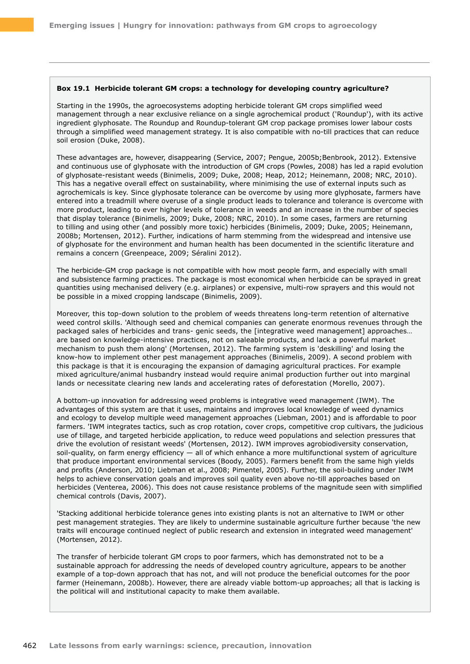#### **Box 19.1 Herbicide tolerant GM crops: a technology for developing country agriculture?**

Starting in the 1990s, the agroecosystems adopting herbicide tolerant GM crops simplified weed management through a near exclusive reliance on a single agrochemical product ('Roundup'), with its active ingredient glyphosate. The Roundup and Roundup-tolerant GM crop package promises lower labour costs through a simplified weed management strategy. It is also compatible with no-till practices that can reduce soil erosion (Duke, 2008).

These advantages are, however, disappearing (Service, 2007; Pengue, 2005b; Benbrook, 2012). Extensive and continuous use of glyphosate with the introduction of GM crops (Powles, 2008) has led a rapid evolution of glyphosate-resistant weeds (Binimelis, 2009; Duke, 2008; Heap, 2012; Heinemann, 2008; NRC, 2010). This has a negative overall effect on sustainability, where minimising the use of external inputs such as agrochemicals is key. Since glyphosate tolerance can be overcome by using more glyphosate, farmers have entered into a treadmill where overuse of a single product leads to tolerance and tolerance is overcome with more product, leading to ever higher levels of tolerance in weeds and an increase in the number of species that display tolerance (Binimelis, 2009; Duke, 2008; NRC, 2010). In some cases, farmers are returning to tilling and using other (and possibly more toxic) herbicides (Binimelis, 2009; Duke, 2005; Heinemann, 2008b; Mortensen, 2012). Further, indications of harm stemming from the widespread and intensive use of glyphosate for the environment and human health has been documented in the scientific literature and remains a concern (Greenpeace, 2009; Séralini 2012).

The herbicide-GM crop package is not compatible with how most people farm, and especially with small and subsistence farming practices. The package is most economical when herbicide can be sprayed in great quantities using mechanised delivery (e.g. airplanes) or expensive, multi-row sprayers and this would not be possible in a mixed cropping landscape (Binimelis, 2009).

Moreover, this top-down solution to the problem of weeds threatens long-term retention of alternative weed control skills. 'Although seed and chemical companies can generate enormous revenues through the packaged sales of herbicides and trans- genic seeds, the [integrative weed management] approaches… are based on knowledge-intensive practices, not on saleable products, and lack a powerful market mechanism to push them along' (Mortensen, 2012). The farming system is 'deskilling' and losing the know-how to implement other pest management approaches (Binimelis, 2009). A second problem with this package is that it is encouraging the expansion of damaging agricultural practices. For example mixed agriculture/animal husbandry instead would require animal production further out into marginal lands or necessitate clearing new lands and accelerating rates of deforestation (Morello, 2007).

A bottom-up innovation for addressing weed problems is integrative weed management (IWM). The advantages of this system are that it uses, maintains and improves local knowledge of weed dynamics and ecology to develop multiple weed management approaches (Liebman, 2001) and is affordable to poor farmers. 'IWM integrates tactics, such as crop rotation, cover crops, competitive crop cultivars, the judicious use of tillage, and targeted herbicide application, to reduce weed populations and selection pressures that drive the evolution of resistant weeds' (Mortensen, 2012). IWM improves agrobiodiversity conservation, soil-quality, on farm energy efficiency - all of which enhance a more multifunctional system of agriculture that produce important environmental services (Boody, 2005). Farmers benefit from the same high yields and profits (Anderson, 2010; Liebman et al., 2008; Pimentel, 2005). Further, the soil-building under IWM helps to achieve conservation goals and improves soil quality even above no-till approaches based on herbicides (Venterea, 2006). This does not cause resistance problems of the magnitude seen with simplified chemical controls (Davis, 2007).

'Stacking additional herbicide tolerance genes into existing plants is not an alternative to IWM or other pest management strategies. They are likely to undermine sustainable agriculture further because 'the new traits will encourage continued neglect of public research and extension in integrated weed management' (Mortensen, 2012).

The transfer of herbicide tolerant GM crops to poor farmers, which has demonstrated not to be a sustainable approach for addressing the needs of developed country agriculture, appears to be another example of a top-down approach that has not, and will not produce the beneficial outcomes for the poor farmer (Heinemann, 2008b). However, there are already viable bottom-up approaches; all that is lacking is the political will and institutional capacity to make them available.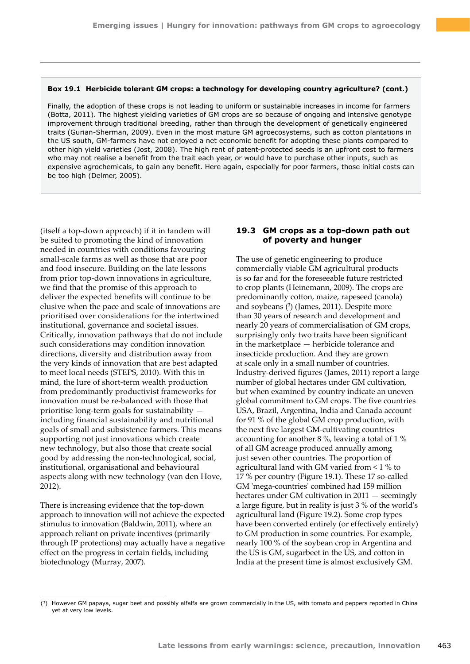#### **Box 19.1 Herbicide tolerant GM crops: a technology for developing country agriculture? (cont.)**

Finally, the adoption of these crops is not leading to uniform or sustainable increases in income for farmers (Botta, 2011). The highest yielding varieties of GM crops are so because of ongoing and intensive genotype improvement through traditional breeding, rather than through the development of genetically engineered traits (Gurian-Sherman, 2009). Even in the most mature GM agroecosystems, such as cotton plantations in the US south, GM-farmers have not enjoyed a net economic benefit for adopting these plants compared to other high yield varieties (Jost, 2008). The high rent of patent-protected seeds is an upfront cost to farmers who may not realise a benefit from the trait each year, or would have to purchase other inputs, such as expensive agrochemicals, to gain any benefit. Here again, especially for poor farmers, those initial costs can be too high (Delmer, 2005).

(itself a top-down approach) if it in tandem will be suited to promoting the kind of innovation needed in countries with conditions favouring small-scale farms as well as those that are poor and food insecure. Building on the late lessons from prior top-down innovations in agriculture, we find that the promise of this approach to deliver the expected benefits will continue to be elusive when the pace and scale of innovations are prioritised over considerations for the intertwined institutional, governance and societal issues. Critically, innovation pathways that do not include such considerations may condition innovation directions, diversity and distribution away from the very kinds of innovation that are best adapted to meet local needs (STEPS, 2010). With this in mind, the lure of short-term wealth production from predominantly productivist frameworks for innovation must be re-balanced with those that prioritise long-term goals for sustainability including financial sustainability and nutritional goals of small and subsistence farmers. This means supporting not just innovations which create new technology, but also those that create social good by addressing the non-technological, social, institutional, organisational and behavioural aspects along with new technology (van den Hove, 2012).

There is increasing evidence that the top-down approach to innovation will not achieve the expected stimulus to innovation (Baldwin, 2011), where an approach reliant on private incentives (primarily through IP protections) may actually have a negative effect on the progress in certain fields, including biotechnology (Murray, 2007).

## **19.3 GM crops as a top-down path out of poverty and hunger**

The use of genetic engineering to produce commercially viable GM agricultural products is so far and for the foreseeable future restricted to crop plants (Heinemann, 2009). The crops are predominantly cotton, maize, rapeseed (canola) and soybeans (3 ) (James, 2011). Despite more than 30 years of research and development and nearly 20 years of commercialisation of GM crops, surprisingly only two traits have been significant in the marketplace — herbicide tolerance and insecticide production. And they are grown at scale only in a small number of countries. Industry-derived figures (James, 2011) report a large number of global hectares under GM cultivation, but when examined by country indicate an uneven global commitment to GM crops. The five countries USA, Brazil, Argentina, India and Canada account for 91 % of the global GM crop production, with the next five largest GM-cultivating countries accounting for another 8 %, leaving a total of 1 % of all GM acreage produced annually among just seven other countries. The proportion of agricultural land with GM varied from < 1 % to 17 % per country (Figure 19.1). These 17 so-called GM 'mega-countries' combined had 159 million hectares under GM cultivation in 2011 — seemingly a large figure, but in reality is just 3 % of the world's agricultural land (Figure 19.2). Some crop types have been converted entirely (or effectively entirely) to GM production in some countries. For example, nearly 100 % of the soybean crop in Argentina and the US is GM, sugarbeet in the US, and cotton in India at the present time is almost exclusively GM.

<sup>(3)</sup> However GM papaya, sugar beet and possibly alfalfa are grown commercially in the US, with tomato and peppers reported in China yet at very low levels.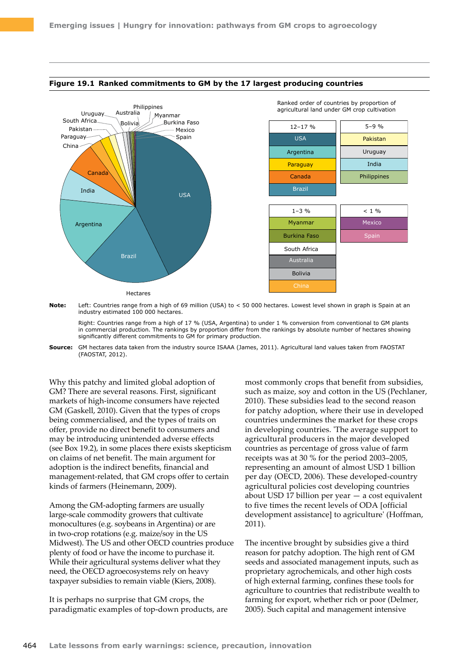

#### **Figure 19.1 Ranked commitments to GM by the 17 largest producing countries**

**Note:** Left: Countries range from a high of 69 million (USA) to < 50 000 hectares. Lowest level shown in graph is Spain at an industry estimated 100 000 hectares.

Right: Countries range from a high of 17 % (USA, Argentina) to under 1 % conversion from conventional to GM plants in commercial production. The rankings by proportion differ from the rankings by absolute number of hectares showing significantly different commitments to GM for primary production.

**Source:** GM hectares data taken from the industry source ISAAA (James, 2011). Agricultural land values taken from FAOSTAT (FAOSTAT, 2012).

Why this patchy and limited global adoption of GM? There are several reasons. First, significant markets of high-income consumers have rejected GM (Gaskell, 2010). Given that the types of crops being commercialised, and the types of traits on offer, provide no direct benefit to consumers and may be introducing unintended adverse effects (see Box 19.2), in some places there exists skepticism on claims of net benefit. The main argument for adoption is the indirect benefits, financial and management-related, that GM crops offer to certain kinds of farmers (Heinemann, 2009).

Among the GM-adopting farmers are usually large-scale commodity growers that cultivate monocultures (e.g. soybeans in Argentina) or are in two-crop rotations (e.g. maize/soy in the US Midwest). The US and other OECD countries produce plenty of food or have the income to purchase it. While their agricultural systems deliver what they need, the OECD agroecosystems rely on heavy taxpayer subsidies to remain viable (Kiers, 2008).

It is perhaps no surprise that GM crops, the paradigmatic examples of top-down products, are most commonly crops that benefit from subsidies, such as maize, soy and cotton in the US (Pechlaner, 2010). These subsidies lead to the second reason for patchy adoption, where their use in developed countries undermines the market for these crops in developing countries. 'The average support to agricultural producers in the major developed countries as percentage of gross value of farm receipts was at 30 % for the period 2003–2005, representing an amount of almost USD 1 billion per day (OECD, 2006). These developed-country agricultural policies cost developing countries about USD 17 billion per year — a cost equivalent to five times the recent levels of ODA [official development assistance] to agriculture' (Hoffman, 2011).

The incentive brought by subsidies give a third reason for patchy adoption. The high rent of GM seeds and associated management inputs, such as proprietary agrochemicals, and other high costs of high external farming, confines these tools for agriculture to countries that redistribute wealth to farming for export, whether rich or poor (Delmer, 2005). Such capital and management intensive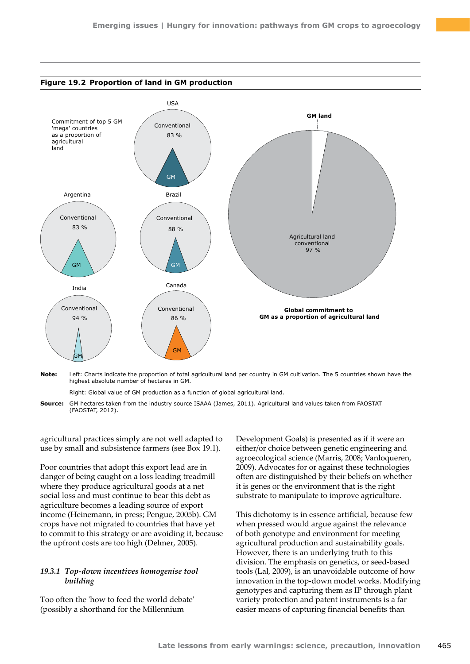

**Note:** Left: Charts indicate the proportion of total agricultural land per country in GM cultivation. The 5 countries shown have the highest absolute number of hectares in GM.

Right: Global value of GM production as a function of global agricultural land.

**Source:** GM hectares taken from the industry source ISAAA (James, 2011). Agricultural land values taken from FAOSTAT (FAOSTAT, 2012).

agricultural practices simply are not well adapted to use by small and subsistence farmers (see Box 19.1).

Poor countries that adopt this export lead are in danger of being caught on a loss leading treadmill where they produce agricultural goods at a net social loss and must continue to bear this debt as agriculture becomes a leading source of export income (Heinemann, in press; Pengue, 2005b). GM crops have not migrated to countries that have yet to commit to this strategy or are avoiding it, because the upfront costs are too high (Delmer, 2005).

### *19.3.1 Top-down incentives homogenise tool building*

Too often the 'how to feed the world debate' (possibly a shorthand for the Millennium

Development Goals) is presented as if it were an either/or choice between genetic engineering and agroecological science (Marris, 2008; Vanloqueren, 2009). Advocates for or against these technologies often are distinguished by their beliefs on whether it is genes or the environment that is the right substrate to manipulate to improve agriculture.

This dichotomy is in essence artificial, because few when pressed would argue against the relevance of both genotype and environment for meeting agricultural production and sustainability goals. However, there is an underlying truth to this division. The emphasis on genetics, or seed-based tools (Lal, 2009), is an unavoidable outcome of how innovation in the top-down model works. Modifying genotypes and capturing them as IP through plant variety protection and patent instruments is a far easier means of capturing financial benefits than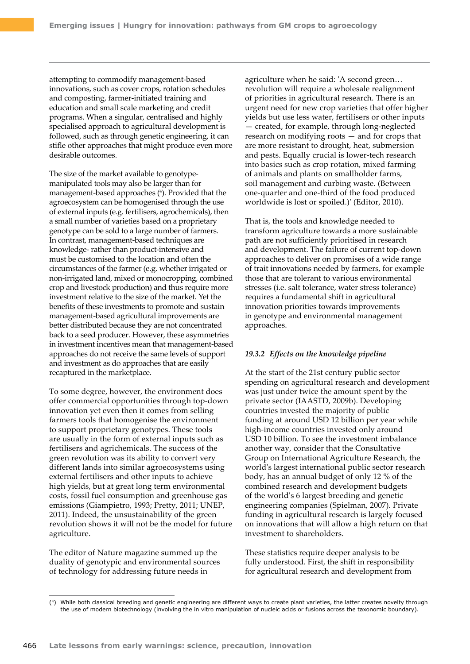attempting to commodify management-based innovations, such as cover crops, rotation schedules and composting, farmer-initiated training and education and small scale marketing and credit programs. When a singular, centralised and highly specialised approach to agricultural development is followed, such as through genetic engineering, it can stifle other approaches that might produce even more desirable outcomes.

The size of the market available to genotypemanipulated tools may also be larger than for management-based approaches ( 4 ). Provided that the agroecosystem can be homogenised through the use of external inputs (e.g. fertilisers, agrochemicals), then a small number of varieties based on a proprietary genotype can be sold to a large number of farmers. In contrast, management-based techniques are knowledge- rather than product-intensive and must be customised to the location and often the circumstances of the farmer (e.g. whether irrigated or non-irrigated land, mixed or monocropping, combined crop and livestock production) and thus require more investment relative to the size of the market. Yet the benefits of these investments to promote and sustain management-based agricultural improvements are better distributed because they are not concentrated back to a seed producer. However, these asymmetries in investment incentives mean that management-based approaches do not receive the same levels of support and investment as do approaches that are easily recaptured in the marketplace.

To some degree, however, the environment does offer commercial opportunities through top-down innovation yet even then it comes from selling farmers tools that homogenise the environment to support proprietary genotypes. These tools are usually in the form of external inputs such as fertilisers and agrichemicals. The success of the green revolution was its ability to convert very different lands into similar agroecosystems using external fertilisers and other inputs to achieve high yields, but at great long term environmental costs, fossil fuel consumption and greenhouse gas emissions (Giampietro, 1993; Pretty, 2011; UNEP, 2011). Indeed, the unsustainability of the green revolution shows it will not be the model for future agriculture.

The editor of Nature magazine summed up the duality of genotypic and environmental sources of technology for addressing future needs in

agriculture when he said: 'A second green… revolution will require a wholesale realignment of priorities in agricultural research. There is an urgent need for new crop varieties that offer higher yields but use less water, fertilisers or other inputs — created, for example, through long-neglected research on modifying roots — and for crops that are more resistant to drought, heat, submersion and pests. Equally crucial is lower-tech research into basics such as crop rotation, mixed farming of animals and plants on smallholder farms, soil management and curbing waste. (Between one-quarter and one-third of the food produced worldwide is lost or spoiled.)' (Editor, 2010).

That is, the tools and knowledge needed to transform agriculture towards a more sustainable path are not sufficiently prioritised in research and development. The failure of current top-down approaches to deliver on promises of a wide range of trait innovations needed by farmers, for example those that are tolerant to various environmental stresses (i.e. salt tolerance, water stress tolerance) requires a fundamental shift in agricultural innovation priorities towards improvements in genotype and environmental management approaches.

#### *19.3.2 Effects on the knowledge pipeline*

At the start of the 21st century public sector spending on agricultural research and development was just under twice the amount spent by the private sector (IAASTD, 2009b). Developing countries invested the majority of public funding at around USD 12 billion per year while high-income countries invested only around USD 10 billion. To see the investment imbalance another way, consider that the Consultative Group on International Agriculture Research, the world's largest international public sector research body, has an annual budget of only 12 % of the combined research and development budgets of the world's 6 largest breeding and genetic engineering companies (Spielman, 2007). Private funding in agricultural research is largely focused on innovations that will allow a high return on that investment to shareholders.

These statistics require deeper analysis to be fully understood. First, the shift in responsibility for agricultural research and development from

<sup>(4)</sup> While both classical breeding and genetic engineering are different ways to create plant varieties, the latter creates novelty through the use of modern biotechnology (involving the in vitro manipulation of nucleic acids or fusions across the taxonomic boundary).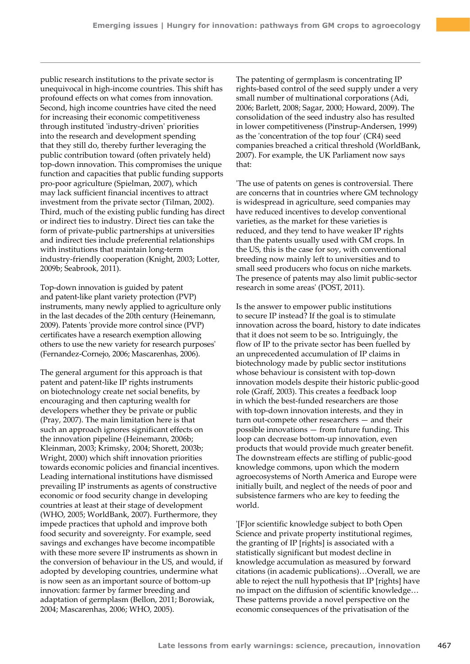public research institutions to the private sector is unequivocal in high-income countries. This shift has profound effects on what comes from innovation. Second, high income countries have cited the need for increasing their economic competitiveness through instituted 'industry-driven' priorities into the research and development spending that they still do, thereby further leveraging the public contribution toward (often privately held) top-down innovation. This compromises the unique function and capacities that public funding supports pro-poor agriculture (Spielman, 2007), which may lack sufficient financial incentives to attract investment from the private sector (Tilman, 2002). Third, much of the existing public funding has direct or indirect ties to industry. Direct ties can take the form of private-public partnerships at universities and indirect ties include preferential relationships with institutions that maintain long-term industry-friendly cooperation (Knight, 2003; Lotter, 2009b; Seabrook, 2011).

Top-down innovation is guided by patent and patent-like plant variety protection (PVP) instruments, many newly applied to agriculture only in the last decades of the 20th century (Heinemann, 2009). Patents 'provide more control since (PVP) certificates have a research exemption allowing others to use the new variety for research purposes' (Fernandez-Cornejo, 2006; Mascarenhas, 2006).

The general argument for this approach is that patent and patent-like IP rights instruments on biotechnology create net social benefits, by encouraging and then capturing wealth for developers whether they be private or public (Pray, 2007). The main limitation here is that such an approach ignores significant effects on the innovation pipeline (Heinemann, 2006b; Kleinman, 2003; Krimsky, 2004; Shorett, 2003b; Wright, 2000) which shift innovation priorities towards economic policies and financial incentives. Leading international institutions have dismissed prevailing IP instruments as agents of constructive economic or food security change in developing countries at least at their stage of development (WHO, 2005; WorldBank, 2007). Furthermore, they impede practices that uphold and improve both food security and sovereignty. For example, seed savings and exchanges have become incompatible with these more severe IP instruments as shown in the conversion of behaviour in the US, and would, if adopted by developing countries, undermine what is now seen as an important source of bottom-up innovation: farmer by farmer breeding and adaptation of germplasm (Bellon, 2011; Borowiak, 2004; Mascarenhas, 2006; WHO, 2005).

The patenting of germplasm is concentrating IP rights-based control of the seed supply under a very small number of multinational corporations (Adi, 2006; Barlett, 2008; Sagar, 2000; Howard, 2009). The consolidation of the seed industry also has resulted in lower competitiveness (Pinstrup-Andersen, 1999) as the 'concentration of the top four' (CR4) seed companies breached a critical threshold (WorldBank, 2007). For example, the UK Parliament now says that:

'The use of patents on genes is controversial. There are concerns that in countries where GM technology is widespread in agriculture, seed companies may have reduced incentives to develop conventional varieties, as the market for these varieties is reduced, and they tend to have weaker IP rights than the patents usually used with GM crops. In the US, this is the case for soy, with conventional breeding now mainly left to universities and to small seed producers who focus on niche markets. The presence of patents may also limit public-sector research in some areas' (POST, 2011).

Is the answer to empower public institutions to secure IP instead? If the goal is to stimulate innovation across the board, history to date indicates that it does not seem to be so. Intriguingly, the flow of IP to the private sector has been fuelled by an unprecedented accumulation of IP claims in biotechnology made by public sector institutions whose behaviour is consistent with top-down innovation models despite their historic public-good role (Graff, 2003). This creates a feedback loop in which the best-funded researchers are those with top-down innovation interests, and they in turn out-compete other researchers — and their possible innovations — from future funding. This loop can decrease bottom-up innovation, even products that would provide much greater benefit. The downstream effects are stifling of public-good knowledge commons, upon which the modern agroecosystems of North America and Europe were initially built, and neglect of the needs of poor and subsistence farmers who are key to feeding the world.

'[F]or scientific knowledge subject to both Open Science and private property institutional regimes, the granting of IP [rights] is associated with a statistically significant but modest decline in knowledge accumulation as measured by forward citations (in academic publications)…Overall, we are able to reject the null hypothesis that IP [rights] have no impact on the diffusion of scientific knowledge… These patterns provide a novel perspective on the economic consequences of the privatisation of the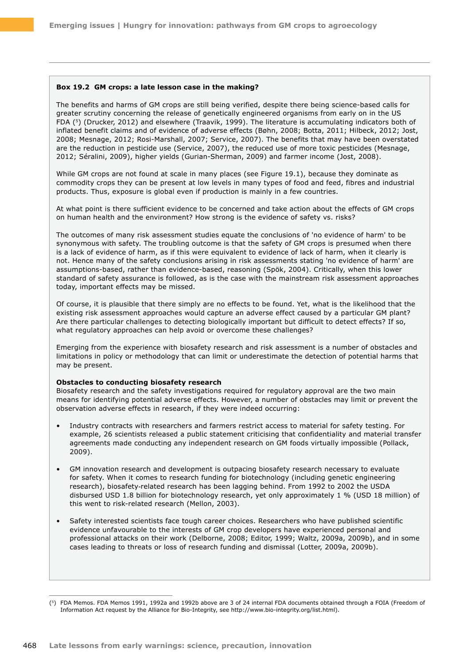#### **Box 19.2 GM crops: a late lesson case in the making?**

The benefits and harms of GM crops are still being verified, despite there being science-based calls for greater scrutiny concerning the release of genetically engineered organisms from early on in the US FDA (5) (Drucker, 2012) and elsewhere (Traavik, 1999). The literature is accumulating indicators both of inflated benefit claims and of evidence of adverse effects (Bøhn, 2008; Botta, 2011; Hilbeck, 2012; Jost, 2008; Mesnage, 2012; Rosi-Marshall, 2007; Service, 2007). The benefits that may have been overstated are the reduction in pesticide use (Service, 2007), the reduced use of more toxic pesticides (Mesnage, 2012; Séralini, 2009), higher yields (Gurian-Sherman, 2009) and farmer income (Jost, 2008).

While GM crops are not found at scale in many places (see Figure 19.1), because they dominate as commodity crops they can be present at low levels in many types of food and feed, fibres and industrial products. Thus, exposure is global even if production is mainly in a few countries.

At what point is there sufficient evidence to be concerned and take action about the effects of GM crops on human health and the environment? How strong is the evidence of safety vs. risks?

The outcomes of many risk assessment studies equate the conclusions of 'no evidence of harm' to be synonymous with safety. The troubling outcome is that the safety of GM crops is presumed when there is a lack of evidence of harm, as if this were equivalent to evidence of lack of harm, when it clearly is not. Hence many of the safety conclusions arising in risk assessments stating 'no evidence of harm' are assumptions-based, rather than evidence-based, reasoning (Spök, 2004). Critically, when this lower standard of safety assurance is followed, as is the case with the mainstream risk assessment approaches today, important effects may be missed.

Of course, it is plausible that there simply are no effects to be found. Yet, what is the likelihood that the existing risk assessment approaches would capture an adverse effect caused by a particular GM plant? Are there particular challenges to detecting biologically important but difficult to detect effects? If so, what regulatory approaches can help avoid or overcome these challenges?

Emerging from the experience with biosafety research and risk assessment is a number of obstacles and limitations in policy or methodology that can limit or underestimate the detection of potential harms that may be present.

#### **Obstacles to conducting biosafety research**

Biosafety research and the safety investigations required for regulatory approval are the two main means for identifying potential adverse effects. However, a number of obstacles may limit or prevent the observation adverse effects in research, if they were indeed occurring:

- Industry contracts with researchers and farmers restrict access to material for safety testing. For example, 26 scientists released a public statement criticising that confidentiality and material transfer agreements made conducting any independent research on GM foods virtually impossible (Pollack, 2009).
- GM innovation research and development is outpacing biosafety research necessary to evaluate for safety. When it comes to research funding for biotechnology (including genetic engineering research), biosafety‑related research has been lagging behind. From 1992 to 2002 the USDA disbursed USD 1.8 billion for biotechnology research, yet only approximately 1 % (USD 18 million) of this went to risk-related research (Mellon, 2003).
- Safety interested scientists face tough career choices. Researchers who have published scientific evidence unfavourable to the interests of GM crop developers have experienced personal and professional attacks on their work (Delborne, 2008; Editor, 1999; Waltz, 2009a, 2009b), and in some cases leading to threats or loss of research funding and dismissal (Lotter, 2009a, 2009b).

<sup>(5)</sup> FDA Memos. FDA Memos 1991, 1992a and 1992b above are 3 of 24 internal FDA documents obtained through a FOIA (Freedom of Information Act request by the Alliance for Bio-Integrity, see [http://www.bio-integrity.org/list.html\)](http://www.bio-integrity.org/list.html).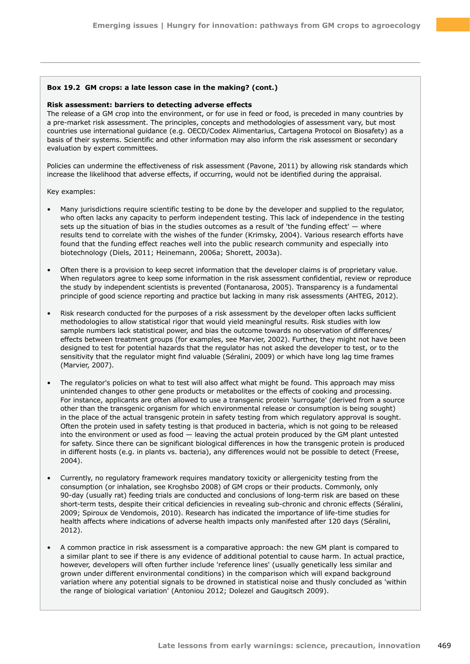### **Box 19.2 GM crops: a late lesson case in the making? (cont.)**

#### **Risk assessment: barriers to detecting adverse effects**

The release of a GM crop into the environment, or for use in feed or food, is preceded in many countries by a pre-market risk assessment. The principles, concepts and methodologies of assessment vary, but most countries use international guidance (e.g. OECD/Codex Alimentarius, Cartagena Protocol on Biosafety) as a basis of their systems. Scientific and other information may also inform the risk assessment or secondary evaluation by expert committees.

Policies can undermine the effectiveness of risk assessment (Pavone, 2011) by allowing risk standards which increase the likelihood that adverse effects, if occurring, would not be identified during the appraisal.

Key examples:

- Many jurisdictions require scientific testing to be done by the developer and supplied to the regulator, who often lacks any capacity to perform independent testing. This lack of independence in the testing sets up the situation of bias in the studies outcomes as a result of 'the funding effect' — where results tend to correlate with the wishes of the funder (Krimsky, 2004). Various research efforts have found that the funding effect reaches well into the public research community and especially into biotechnology (Diels, 2011; Heinemann, 2006a; Shorett, 2003a).
- Often there is a provision to keep secret information that the developer claims is of proprietary value. When regulators agree to keep some information in the risk assessment confidential, review or reproduce the study by independent scientists is prevented (Fontanarosa, 2005). Transparency is a fundamental principle of good science reporting and practice but lacking in many risk assessments (AHTEG, 2012).
- Risk research conducted for the purposes of a risk assessment by the developer often lacks sufficient methodologies to allow statistical rigor that would yield meaningful results. Risk studies with low sample numbers lack statistical power, and bias the outcome towards no observation of differences/ effects between treatment groups (for examples, see Marvier, 2002). Further, they might not have been designed to test for potential hazards that the regulator has not asked the developer to test, or to the sensitivity that the regulator might find valuable (Séralini, 2009) or which have long lag time frames (Marvier, 2007).
- The regulator's policies on what to test will also affect what might be found. This approach may miss unintended changes to other gene products or metabolites or the effects of cooking and processing. For instance, applicants are often allowed to use a transgenic protein 'surrogate' (derived from a source other than the transgenic organism for which environmental release or consumption is being sought) in the place of the actual transgenic protein in safety testing from which regulatory approval is sought. Often the protein used in safety testing is that produced in bacteria, which is not going to be released into the environment or used as food — leaving the actual protein produced by the GM plant untested for safety. Since there can be significant biological differences in how the transgenic protein is produced in different hosts (e.g. in plants vs. bacteria), any differences would not be possible to detect (Freese, 2004).
- Currently, no regulatory framework requires mandatory toxicity or allergenicity testing from the consumption (or inhalation, see Kroghsbo 2008) of GM crops or their products. Commonly, only 90-day (usually rat) feeding trials are conducted and conclusions of long-term risk are based on these short-term tests, despite their critical deficiencies in revealing sub-chronic and chronic effects (Séralini, 2009; Spiroux de Vendomois, 2010). Research has indicated the importance of life-time studies for health affects where indications of adverse health impacts only manifested after 120 days (Séralini, 2012).
- A common practice in risk assessment is a comparative approach: the new GM plant is compared to a similar plant to see if there is any evidence of additional potential to cause harm. In actual practice, however, developers will often further include 'reference lines' (usually genetically less similar and grown under different environmental conditions) in the comparison which will expand background variation where any potential signals to be drowned in statistical noise and thusly concluded as 'within the range of biological variation' (Antoniou 2012; Dolezel and Gaugitsch 2009).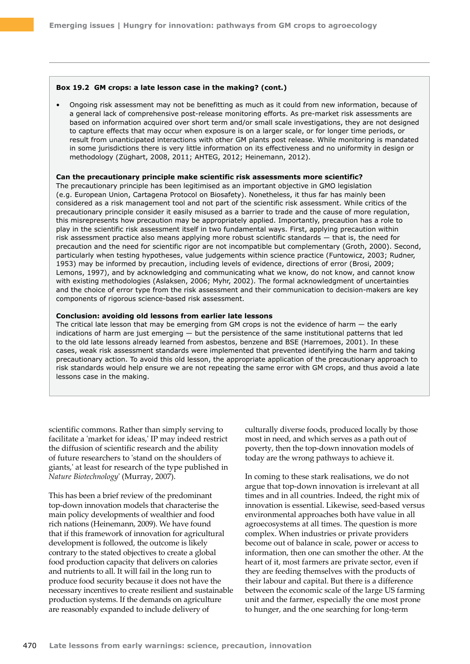#### **Box 19.2 GM crops: a late lesson case in the making? (cont.)**

• Ongoing risk assessment may not be benefitting as much as it could from new information, because of a general lack of comprehensive post-release monitoring efforts. As pre-market risk assessments are based on information acquired over short term and/or small scale investigations, they are not designed to capture effects that may occur when exposure is on a larger scale, or for longer time periods, or result from unanticipated interactions with other GM plants post release. While monitoring is mandated in some jurisdictions there is very little information on its effectiveness and no uniformity in design or methodology (Züghart, 2008, 2011; AHTEG, 2012; Heinemann, 2012).

#### **Can the precautionary principle make scientific risk assessments more scientific?**

The precautionary principle has been legitimised as an important objective in GMO legislation (e.g. European Union, Cartagena Protocol on Biosafety). Nonetheless, it thus far has mainly been considered as a risk management tool and not part of the scientific risk assessment. While critics of the precautionary principle consider it easily misused as a barrier to trade and the cause of more regulation, this misrepresents how precaution may be appropriately applied. Importantly, precaution has a role to play in the scientific risk assessment itself in two fundamental ways. First, applying precaution within risk assessment practice also means applying more robust scientific standards — that is, the need for precaution and the need for scientific rigor are not incompatible but complementary (Groth, 2000). Second, particularly when testing hypotheses, value judgements within science practice (Funtowicz, 2003; Rudner, 1953) may be informed by precaution, including levels of evidence, directions of error (Brosi, 2009; Lemons, 1997), and by acknowledging and communicating what we know, do not know, and cannot know with existing methodologies (Aslaksen, 2006; Myhr, 2002). The formal acknowledgment of uncertainties and the choice of error type from the risk assessment and their communication to decision-makers are key components of rigorous science-based risk assessment.

#### **Conclusion: avoiding old lessons from earlier late lessons**

The critical late lesson that may be emerging from GM crops is not the evidence of harm — the early indications of harm are just emerging — but the persistence of the same institutional patterns that led to the old late lessons already learned from asbestos, benzene and BSE (Harremoes, 2001). In these cases, weak risk assessment standards were implemented that prevented identifying the harm and taking precautionary action. To avoid this old lesson, the appropriate application of the precautionary approach to risk standards would help ensure we are not repeating the same error with GM crops, and thus avoid a late lessons case in the making.

scientific commons. Rather than simply serving to facilitate a 'market for ideas,' IP may indeed restrict the diffusion of scientific research and the ability of future researchers to 'stand on the shoulders of giants,' at least for research of the type published in *Nature Biotechnology*' (Murray, 2007).

This has been a brief review of the predominant top-down innovation models that characterise the main policy developments of wealthier and food rich nations (Heinemann, 2009). We have found that if this framework of innovation for agricultural development is followed, the outcome is likely contrary to the stated objectives to create a global food production capacity that delivers on calories and nutrients to all. It will fail in the long run to produce food security because it does not have the necessary incentives to create resilient and sustainable production systems. If the demands on agriculture are reasonably expanded to include delivery of

culturally diverse foods, produced locally by those most in need, and which serves as a path out of poverty, then the top-down innovation models of today are the wrong pathways to achieve it.

In coming to these stark realisations, we do not argue that top-down innovation is irrelevant at all times and in all countries. Indeed, the right mix of innovation is essential. Likewise, seed-based versus environmental approaches both have value in all agroecosystems at all times. The question is more complex. When industries or private providers become out of balance in scale, power or access to information, then one can smother the other. At the heart of it, most farmers are private sector, even if they are feeding themselves with the products of their labour and capital. But there is a difference between the economic scale of the large US farming unit and the farmer, especially the one most prone to hunger, and the one searching for long-term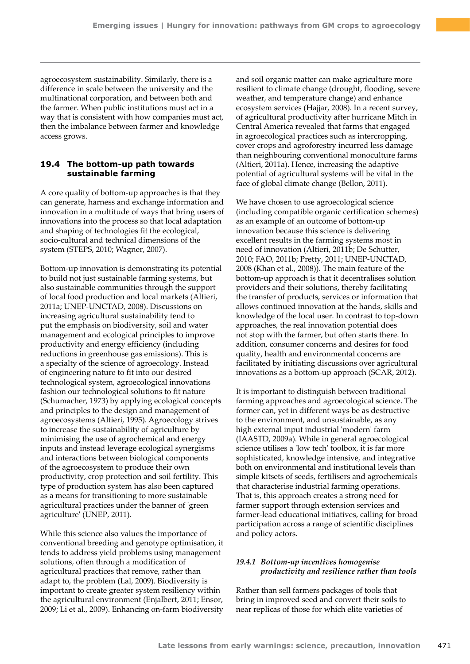agroecosystem sustainability. Similarly, there is a difference in scale between the university and the multinational corporation, and between both and the farmer. When public institutions must act in a way that is consistent with how companies must act, then the imbalance between farmer and knowledge access grows.

## **19.4 The bottom-up path towards sustainable farming**

A core quality of bottom-up approaches is that they can generate, harness and exchange information and innovation in a multitude of ways that bring users of innovations into the process so that local adaptation and shaping of technologies fit the ecological, socio-cultural and technical dimensions of the system (STEPS, 2010; Wagner, 2007).

Bottom-up innovation is demonstrating its potential to build not just sustainable farming systems, but also sustainable communities through the support of local food production and local markets (Altieri, 2011a; UNEP-UNCTAD, 2008). Discussions on increasing agricultural sustainability tend to put the emphasis on biodiversity, soil and water management and ecological principles to improve productivity and energy efficiency (including reductions in greenhouse gas emissions). This is a specialty of the science of agroecology. Instead of engineering nature to fit into our desired technological system, agroecological innovations fashion our technological solutions to fit nature (Schumacher, 1973) by applying ecological concepts and principles to the design and management of agroecosystems (Altieri, 1995). Agroecology strives to increase the sustainability of agriculture by minimising the use of agrochemical and energy inputs and instead leverage ecological synergisms and interactions between biological components of the agroecosystem to produce their own productivity, crop protection and soil fertility. This type of production system has also been captured as a means for transitioning to more sustainable agricultural practices under the banner of 'green agriculture' (UNEP, 2011).

While this science also values the importance of conventional breeding and genotype optimisation, it tends to address yield problems using management solutions, often through a modification of agricultural practices that remove, rather than adapt to, the problem (Lal, 2009). Biodiversity is important to create greater system resiliency within the agricultural environment (Enjalbert, 2011; Ensor, 2009; Li et al., 2009). Enhancing on-farm biodiversity

and soil organic matter can make agriculture more resilient to climate change (drought, flooding, severe weather, and temperature change) and enhance ecosystem services (Hajjar, 2008). In a recent survey, of agricultural productivity after hurricane Mitch in Central America revealed that farms that engaged in agroecological practices such as intercropping, cover crops and agroforestry incurred less damage than neighbouring conventional monoculture farms (Altieri, 2011a). Hence, increasing the adaptive potential of agricultural systems will be vital in the face of global climate change (Bellon, 2011).

We have chosen to use agroecological science (including compatible organic certification schemes) as an example of an outcome of bottom-up innovation because this science is delivering excellent results in the farming systems most in need of innovation (Altieri, 2011b; De Schutter, 2010; FAO, 2011b; Pretty, 2011; UNEP-UNCTAD, 2008 (Khan et al., 2008)). The main feature of the bottom-up approach is that it decentralises solution providers and their solutions, thereby facilitating the transfer of products, services or information that allows continued innovation at the hands, skills and knowledge of the local user. In contrast to top-down approaches, the real innovation potential does not stop with the farmer, but often starts there. In addition, consumer concerns and desires for food quality, health and environmental concerns are facilitated by initiating discussions over agricultural innovations as a bottom-up approach (SCAR, 2012).

It is important to distinguish between traditional farming approaches and agroecological science. The former can, yet in different ways be as destructive to the environment, and unsustainable, as any high external input industrial 'modern' farm (IAASTD, 2009a). While in general agroecological science utilises a 'low tech' toolbox, it is far more sophisticated, knowledge intensive, and integrative both on environmental and institutional levels than simple kitsets of seeds, fertilisers and agrochemicals that characterise industrial farming operations. That is, this approach creates a strong need for farmer support through extension services and farmer-lead educational initiatives, calling for broad participation across a range of scientific disciplines and policy actors.

## *19.4.1 Bottom-up incentives homogenise productivity and resilience rather than tools*

Rather than sell farmers packages of tools that bring in improved seed and convert their soils to near replicas of those for which elite varieties of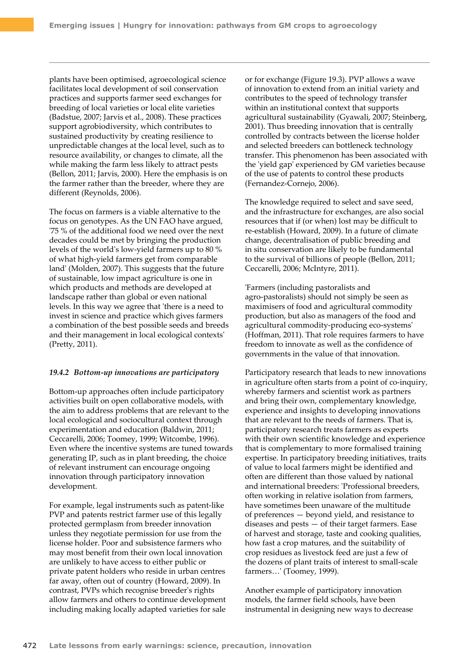plants have been optimised, agroecological science facilitates local development of soil conservation practices and supports farmer seed exchanges for breeding of local varieties or local elite varieties (Badstue, 2007; Jarvis et al., 2008). These practices support agrobiodiversity, which contributes to sustained productivity by creating resilience to unpredictable changes at the local level, such as to resource availability, or changes to climate, all the while making the farm less likely to attract pests (Bellon, 2011; Jarvis, 2000). Here the emphasis is on the farmer rather than the breeder, where they are different (Reynolds, 2006).

The focus on farmers is a viable alternative to the focus on genotypes. As the UN FAO have argued, '75 % of the additional food we need over the next decades could be met by bringing the production levels of the world's low-yield farmers up to 80 % of what high-yield farmers get from comparable land' (Molden, 2007). This suggests that the future of sustainable, low impact agriculture is one in which products and methods are developed at landscape rather than global or even national levels. In this way we agree that 'there is a need to invest in science and practice which gives farmers a combination of the best possible seeds and breeds and their management in local ecological contexts' (Pretty, 2011).

#### *19.4.2 Bottom-up innovations are participatory*

Bottom-up approaches often include participatory activities built on open collaborative models, with the aim to address problems that are relevant to the local ecological and sociocultural context through experimentation and education (Baldwin, 2011; Ceccarelli, 2006; Toomey, 1999; Witcombe, 1996). Even where the incentive systems are tuned towards generating IP, such as in plant breeding, the choice of relevant instrument can encourage ongoing innovation through participatory innovation development.

For example, legal instruments such as patent-like PVP and patents restrict farmer use of this legally protected germplasm from breeder innovation unless they negotiate permission for use from the license holder. Poor and subsistence farmers who may most benefit from their own local innovation are unlikely to have access to either public or private patent holders who reside in urban centres far away, often out of country (Howard, 2009). In contrast, PVPs which recognise breeder's rights allow farmers and others to continue development including making locally adapted varieties for sale

or for exchange (Figure 19.3). PVP allows a wave of innovation to extend from an initial variety and contributes to the speed of technology transfer within an institutional context that supports agricultural sustainability (Gyawali, 2007; Steinberg, 2001). Thus breeding innovation that is centrally controlled by contracts between the license holder and selected breeders can bottleneck technology transfer. This phenomenon has been associated with the 'yield gap' experienced by GM varieties because of the use of patents to control these products (Fernandez-Cornejo, 2006).

The knowledge required to select and save seed, and the infrastructure for exchanges, are also social resources that if (or when) lost may be difficult to re-establish (Howard, 2009). In a future of climate change, decentralisation of public breeding and in situ conservation are likely to be fundamental to the survival of billions of people (Bellon, 2011; Ceccarelli, 2006; McIntyre, 2011).

'Farmers (including pastoralists and agro-pastoralists) should not simply be seen as maximisers of food and agricultural commodity production, but also as managers of the food and agricultural commodity-producing eco-systems' (Hoffman, 2011). That role requires farmers to have freedom to innovate as well as the confidence of governments in the value of that innovation.

Participatory research that leads to new innovations in agriculture often starts from a point of co-inquiry, whereby farmers and scientist work as partners and bring their own, complementary knowledge, experience and insights to developing innovations that are relevant to the needs of farmers. That is, participatory research treats farmers as experts with their own scientific knowledge and experience that is complementary to more formalised training expertise. In participatory breeding initiatives, traits of value to local farmers might be identified and often are different than those valued by national and international breeders: 'Professional breeders, often working in relative isolation from farmers, have sometimes been unaware of the multitude of preferences — beyond yield, and resistance to diseases and pests — of their target farmers. Ease of harvest and storage, taste and cooking qualities, how fast a crop matures, and the suitability of crop residues as livestock feed are just a few of the dozens of plant traits of interest to small-scale farmers…' (Toomey, 1999).

Another example of participatory innovation models, the farmer field schools, have been instrumental in designing new ways to decrease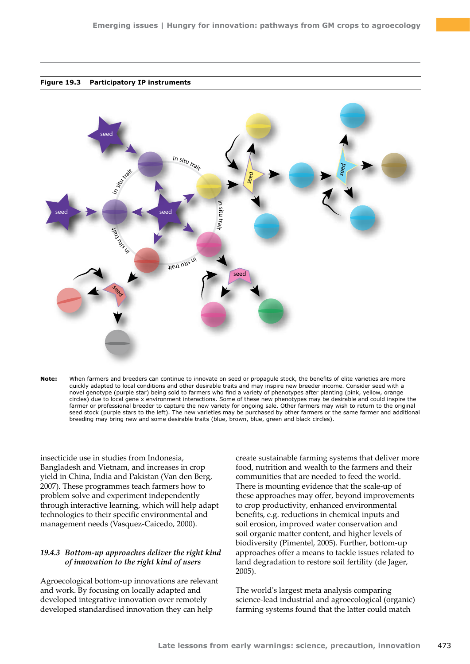



**Note:** When farmers and breeders can continue to innovate on seed or propagule stock, the benefits of elite varieties are more quickly adapted to local conditions and other desirable traits and may inspire new breeder income. Consider seed with a novel genotype (purple star) being sold to farmers who find a variety of phenotypes after planting (pink, yellow, orange circles) due to local gene x environment interactions. Some of these new phenotypes may be desirable and could inspire the farmer or professional breeder to capture the new variety for ongoing sale. Other farmers may wish to return to the original seed stock (purple stars to the left). The new varieties may be purchased by other farmers or the same farmer and additional breeding may bring new and some desirable traits (blue, brown, blue, green and black circles).

insecticide use in studies from Indonesia, Bangladesh and Vietnam, and increases in crop yield in China, India and Pakistan (Van den Berg, 2007). These programmes teach farmers how to problem solve and experiment independently through interactive learning, which will help adapt technologies to their specific environmental and management needs (Vasquez-Caicedo, 2000).

## *19.4.3 Bottom-up approaches deliver the right kind of innovation to the right kind of users*

Agroecological bottom-up innovations are relevant and work. By focusing on locally adapted and developed integrative innovation over remotely developed standardised innovation they can help

create sustainable farming systems that deliver more food, nutrition and wealth to the farmers and their communities that are needed to feed the world. There is mounting evidence that the scale-up of these approaches may offer, beyond improvements to crop productivity, enhanced environmental benefits, e.g. reductions in chemical inputs and soil erosion, improved water conservation and soil organic matter content, and higher levels of biodiversity (Pimentel, 2005). Further, bottom-up approaches offer a means to tackle issues related to land degradation to restore soil fertility (de Jager, 2005).

The world's largest meta analysis comparing science-lead industrial and agroecological (organic) farming systems found that the latter could match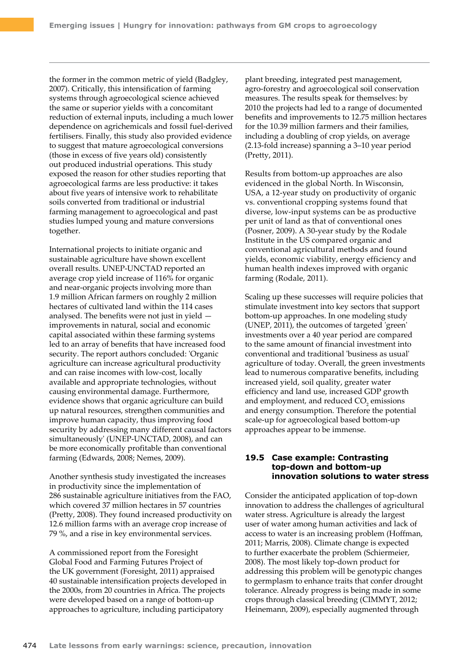the former in the common metric of yield (Badgley, 2007). Critically, this intensification of farming systems through agroecological science achieved the same or superior yields with a concomitant reduction of external inputs, including a much lower dependence on agrichemicals and fossil fuel-derived fertilisers. Finally, this study also provided evidence to suggest that mature agroecological conversions (those in excess of five years old) consistently out produced industrial operations. This study exposed the reason for other studies reporting that agroecological farms are less productive: it takes about five years of intensive work to rehabilitate soils converted from traditional or industrial farming management to agroecological and past studies lumped young and mature conversions together.

International projects to initiate organic and sustainable agriculture have shown excellent overall results. UNEP-UNCTAD reported an average crop yield increase of 116% for organic and near-organic projects involving more than 1.9 million African farmers on roughly 2 million hectares of cultivated land within the 114 cases analysed. The benefits were not just in yield improvements in natural, social and economic capital associated within these farming systems led to an array of benefits that have increased food security. The report authors concluded: 'Organic agriculture can increase agricultural productivity and can raise incomes with low-cost, locally available and appropriate technologies, without causing environmental damage. Furthermore, evidence shows that organic agriculture can build up natural resources, strengthen communities and improve human capacity, thus improving food security by addressing many different causal factors simultaneously' (UNEP-UNCTAD, 2008), and can be more economically profitable than conventional farming (Edwards, 2008; Nemes, 2009).

Another synthesis study investigated the increases in productivity since the implementation of 286 sustainable agriculture initiatives from the FAO, which covered 37 million hectares in 57 countries (Pretty, 2008). They found increased productivity on 12.6 million farms with an average crop increase of 79 %, and a rise in key environmental services.

A commissioned report from the Foresight Global Food and Farming Futures Project of the UK government (Foresight, 2011) appraised 40 sustainable intensification projects developed in the 2000s, from 20 countries in Africa. The projects were developed based on a range of bottom-up approaches to agriculture, including participatory

plant breeding, integrated pest management, agro-forestry and agroecological soil conservation measures. The results speak for themselves: by 2010 the projects had led to a range of documented benefits and improvements to 12.75 million hectares for the 10.39 million farmers and their families, including a doubling of crop yields, on average (2.13-fold increase) spanning a 3–10 year period (Pretty, 2011).

Results from bottom-up approaches are also evidenced in the global North. In Wisconsin, USA, a 12-year study on productivity of organic vs. conventional cropping systems found that diverse, low-input systems can be as productive per unit of land as that of conventional ones (Posner, 2009). A 30-year study by the Rodale Institute in the US compared organic and conventional agricultural methods and found yields, economic viability, energy efficiency and human health indexes improved with organic farming (Rodale, 2011).

Scaling up these successes will require policies that stimulate investment into key sectors that support bottom-up approaches. In one modeling study (UNEP, 2011), the outcomes of targeted 'green' investments over a 40 year period are compared to the same amount of financial investment into conventional and traditional 'business as usual' agriculture of today. Overall, the green investments lead to numerous comparative benefits, including increased yield, soil quality, greater water efficiency and land use, increased GDP growth and employment, and reduced  $CO_2$  emissions and energy consumption. Therefore the potential scale-up for agroecological based bottom-up approaches appear to be immense.

## **19.5 Case example: Contrasting top-down and bottom-up innovation solutions to water stress**

Consider the anticipated application of top-down innovation to address the challenges of agricultural water stress. Agriculture is already the largest user of water among human activities and lack of access to water is an increasing problem (Hoffman, 2011; Marris, 2008). Climate change is expected to further exacerbate the problem (Schiermeier, 2008). The most likely top-down product for addressing this problem will be genotypic changes to germplasm to enhance traits that confer drought tolerance. Already progress is being made in some crops through classical breeding (CIMMYT, 2012; Heinemann, 2009), especially augmented through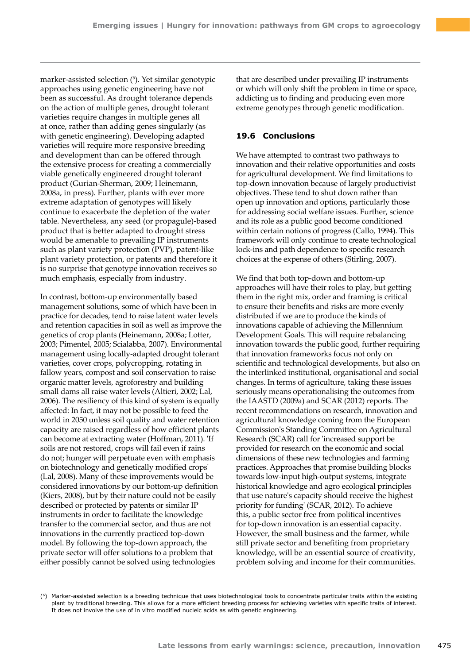marker-assisted selection (6 ). Yet similar genotypic approaches using genetic engineering have not been as successful. As drought tolerance depends on the action of multiple genes, drought tolerant varieties require changes in multiple genes all at once, rather than adding genes singularly (as with genetic engineering). Developing adapted varieties will require more responsive breeding and development than can be offered through the extensive process for creating a commercially viable genetically engineered drought tolerant product (Gurian-Sherman, 2009; Heinemann, 2008a, in press). Further, plants with ever more extreme adaptation of genotypes will likely continue to exacerbate the depletion of the water table. Nevertheless, any seed (or propagule)-based product that is better adapted to drought stress would be amenable to prevailing IP instruments such as plant variety protection (PVP), patent-like plant variety protection, or patents and therefore it is no surprise that genotype innovation receives so much emphasis, especially from industry.

In contrast, bottom-up environmentally based management solutions, some of which have been in practice for decades, tend to raise latent water levels and retention capacities in soil as well as improve the genetics of crop plants (Heinemann, 2008a; Lotter, 2003; Pimentel, 2005; Scialabba, 2007). Environmental management using locally-adapted drought tolerant varieties, cover crops, polycropping, rotating in fallow years, compost and soil conservation to raise organic matter levels, agroforestry and building small dams all raise water levels (Altieri, 2002; Lal, 2006). The resiliency of this kind of system is equally affected: In fact, it may not be possible to feed the world in 2050 unless soil quality and water retention capacity are raised regardless of how efficient plants can become at extracting water (Hoffman, 2011). 'If soils are not restored, crops will fail even if rains do not; hunger will perpetuate even with emphasis on biotechnology and genetically modified crops' (Lal, 2008). Many of these improvements would be considered innovations by our bottom-up definition (Kiers, 2008), but by their nature could not be easily described or protected by patents or similar IP instruments in order to facilitate the knowledge transfer to the commercial sector, and thus are not innovations in the currently practiced top-down model. By following the top-down approach, the private sector will offer solutions to a problem that either possibly cannot be solved using technologies

that are described under prevailing IP instruments or which will only shift the problem in time or space, addicting us to finding and producing even more extreme genotypes through genetic modification.

# **19.6 Conclusions**

We have attempted to contrast two pathways to innovation and their relative opportunities and costs for agricultural development. We find limitations to top-down innovation because of largely productivist objectives. These tend to shut down rather than open up innovation and options, particularly those for addressing social welfare issues. Further, science and its role as a public good become conditioned within certain notions of progress (Callo, 1994). This framework will only continue to create technological lock-ins and path dependence to specific research choices at the expense of others (Stirling, 2007).

We find that both top-down and bottom-up approaches will have their roles to play, but getting them in the right mix, order and framing is critical to ensure their benefits and risks are more evenly distributed if we are to produce the kinds of innovations capable of achieving the Millennium Development Goals. This will require rebalancing innovation towards the public good, further requiring that innovation frameworks focus not only on scientific and technological developments, but also on the interlinked institutional, organisational and social changes. In terms of agriculture, taking these issues seriously means operationalising the outcomes from the IAASTD (2009a) and SCAR (2012) reports. The recent recommendations on research, innovation and agricultural knowledge coming from the European Commission's Standing Committee on Agricultural Research (SCAR) call for 'increased support be provided for research on the economic and social dimensions of these new technologies and farming practices. Approaches that promise building blocks towards low-input high-output systems, integrate historical knowledge and agro ecological principles that use nature's capacity should receive the highest priority for funding' (SCAR, 2012). To achieve this, a public sector free from political incentives for top-down innovation is an essential capacity. However, the small business and the farmer, while still private sector and benefiting from proprietary knowledge, will be an essential source of creativity, problem solving and income for their communities.

<sup>(6)</sup> Marker-assisted selection is a breeding technique that uses biotechnological tools to concentrate particular traits within the existing plant by traditional breeding. This allows for a more efficient breeding process for achieving varieties with specific traits of interest. It does not involve the use of in vitro modified nucleic acids as with genetic engineering.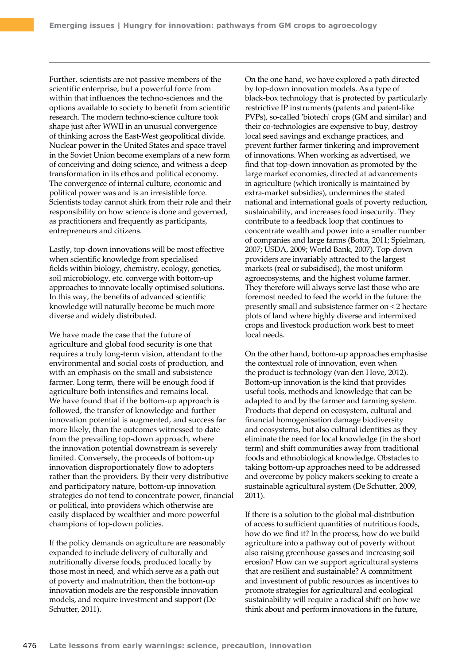Further, scientists are not passive members of the scientific enterprise, but a powerful force from within that influences the techno-sciences and the options available to society to benefit from scientific research. The modern techno-science culture took shape just after WWII in an unusual convergence of thinking across the East-West geopolitical divide. Nuclear power in the United States and space travel in the Soviet Union become exemplars of a new form of conceiving and doing science, and witness a deep transformation in its ethos and political economy. The convergence of internal culture, economic and political power was and is an irresistible force. Scientists today cannot shirk from their role and their responsibility on how science is done and governed, as practitioners and frequently as participants, entrepreneurs and citizens.

Lastly, top-down innovations will be most effective when scientific knowledge from specialised fields within biology, chemistry, ecology, genetics, soil microbiology, etc. converge with bottom-up approaches to innovate locally optimised solutions. In this way, the benefits of advanced scientific knowledge will naturally become be much more diverse and widely distributed.

We have made the case that the future of agriculture and global food security is one that requires a truly long-term vision, attendant to the environmental and social costs of production, and with an emphasis on the small and subsistence farmer. Long term, there will be enough food if agriculture both intensifies and remains local. We have found that if the bottom-up approach is followed, the transfer of knowledge and further innovation potential is augmented, and success far more likely, than the outcomes witnessed to date from the prevailing top-down approach, where the innovation potential downstream is severely limited. Conversely, the proceeds of bottom-up innovation disproportionately flow to adopters rather than the providers. By their very distributive and participatory nature, bottom-up innovation strategies do not tend to concentrate power, financial or political, into providers which otherwise are easily displaced by wealthier and more powerful champions of top-down policies.

If the policy demands on agriculture are reasonably expanded to include delivery of culturally and nutritionally diverse foods, produced locally by those most in need, and which serve as a path out of poverty and malnutrition, then the bottom-up innovation models are the responsible innovation models, and require investment and support (De Schutter, 2011).

On the one hand, we have explored a path directed by top-down innovation models. As a type of black-box technology that is protected by particularly restrictive IP instruments (patents and patent-like PVPs), so-called 'biotech' crops (GM and similar) and their co-technologies are expensive to buy, destroy local seed savings and exchange practices, and prevent further farmer tinkering and improvement of innovations. When working as advertised, we find that top-down innovation as promoted by the large market economies, directed at advancements in agriculture (which ironically is maintained by extra-market subsidies), undermines the stated national and international goals of poverty reduction, sustainability, and increases food insecurity. They contribute to a feedback loop that continues to concentrate wealth and power into a smaller number of companies and large farms (Botta, 2011; Spielman, 2007; USDA, 2009; World Bank, 2007). Top-down providers are invariably attracted to the largest markets (real or subsidised), the most uniform agroecosystems, and the highest volume farmer. They therefore will always serve last those who are foremost needed to feed the world in the future: the presently small and subsistence farmer on < 2 hectare plots of land where highly diverse and intermixed crops and livestock production work best to meet local needs.

On the other hand, bottom-up approaches emphasise the contextual role of innovation, even when the product is technology (van den Hove, 2012). Bottom-up innovation is the kind that provides useful tools, methods and knowledge that can be adapted to and by the farmer and farming system. Products that depend on ecosystem, cultural and financial homogenisation damage biodiversity and ecosystems, but also cultural identities as they eliminate the need for local knowledge (in the short term) and shift communities away from traditional foods and ethnobiological knowledge. Obstacles to taking bottom-up approaches need to be addressed and overcome by policy makers seeking to create a sustainable agricultural system (De Schutter, 2009, 2011).

If there is a solution to the global mal-distribution of access to sufficient quantities of nutritious foods, how do we find it? In the process, how do we build agriculture into a pathway out of poverty without also raising greenhouse gasses and increasing soil erosion? How can we support agricultural systems that are resilient and sustainable? A commitment and investment of public resources as incentives to promote strategies for agricultural and ecological sustainability will require a radical shift on how we think about and perform innovations in the future,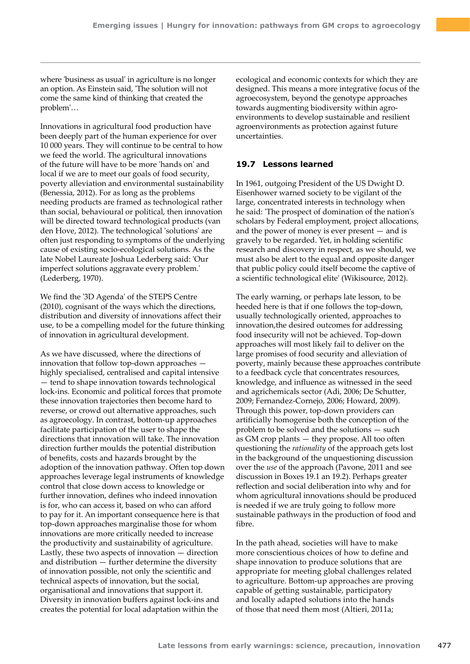where 'business as usual' in agriculture is no longer an option. As Einstein said, 'The solution will not come the same kind of thinking that created the problem'…

Innovations in agricultural food production have been deeply part of the human experience for over 10 000 years. They will continue to be central to how we feed the world. The agricultural innovations of the future will have to be more 'hands on' and local if we are to meet our goals of food security, poverty alleviation and environmental sustainability (Benessia, 2012). For as long as the problems needing products are framed as technological rather than social, behavioural or political, then innovation will be directed toward technological products (van den Hove, 2012). The technological 'solutions' are often just responding to symptoms of the underlying cause of existing socio-ecological solutions. As the late Nobel Laureate Joshua Lederberg said: 'Our imperfect solutions aggravate every problem.' (Lederberg, 1970).

We find the '3D Agenda' of the STEPS Centre (2010), cognisant of the ways which the directions, distribution and diversity of innovations affect their use, to be a compelling model for the future thinking of innovation in agricultural development.

As we have discussed, where the directions of innovation that follow top-down approaches highly specialised, centralised and capital intensive — tend to shape innovation towards technological lock-ins. Economic and political forces that promote these innovation trajectories then become hard to reverse, or crowd out alternative approaches, such as agroecology. In contrast, bottom-up approaches facilitate participation of the user to shape the directions that innovation will take. The innovation direction further moulds the potential distribution of benefits, costs and hazards brought by the adoption of the innovation pathway. Often top down approaches leverage legal instruments of knowledge control that close down access to knowledge or further innovation, defines who indeed innovation is for, who can access it, based on who can afford to pay for it. An important consequence here is that top-down approaches marginalise those for whom innovations are more critically needed to increase the productivity and sustainability of agriculture. Lastly, these two aspects of innovation — direction and distribution — further determine the diversity of innovation possible, not only the scientific and technical aspects of innovation, but the social, organisational and innovations that support it. Diversity in innovation buffers against lock-ins and creates the potential for local adaptation within the

ecological and economic contexts for which they are designed. This means a more integrative focus of the agroecosystem, beyond the genotype approaches towards augmenting biodiversity within agroenvironments to develop sustainable and resilient agroenvironments as protection against future uncertainties.

## **19.7 Lessons learned**

In 1961, outgoing President of the US Dwight D. Eisenhower warned society to be vigilant of the large, concentrated interests in technology when he said: 'The prospect of domination of the nation's scholars by Federal employment, project allocations, and the power of money is ever present — and is gravely to be regarded. Yet, in holding scientific research and discovery in respect, as we should, we must also be alert to the equal and opposite danger that public policy could itself become the captive of a scientific technological elite' (Wikisource, 2012).

The early warning, or perhaps late lesson, to be heeded here is that if one follows the top-down, usually technologically oriented, approaches to innovation,the desired outcomes for addressing food insecurity will not be achieved. Top-down approaches will most likely fail to deliver on the large promises of food security and alleviation of poverty, mainly because these approaches contribute to a feedback cycle that concentrates resources, knowledge, and influence as witnessed in the seed and agrichemicals sector (Adi, 2006; De Schutter, 2009; Fernandez-Cornejo, 2006; Howard, 2009). Through this power, top-down providers can artificially homogenise both the conception of the problem to be solved and the solutions — such as GM crop plants — they propose. All too often questioning the *rationality* of the approach gets lost in the background of the unquestioning discussion over the *use* of the approach (Pavone, 2011 and see discussion in Boxes 19.1 an 19.2). Perhaps greater reflection and social deliberation into why and for whom agricultural innovations should be produced is needed if we are truly going to follow more sustainable pathways in the production of food and fibre.

In the path ahead, societies will have to make more conscientious choices of how to define and shape innovation to produce solutions that are appropriate for meeting global challenges related to agriculture. Bottom-up approaches are proving capable of getting sustainable, participatory and locally adapted solutions into the hands of those that need them most (Altieri, 2011a;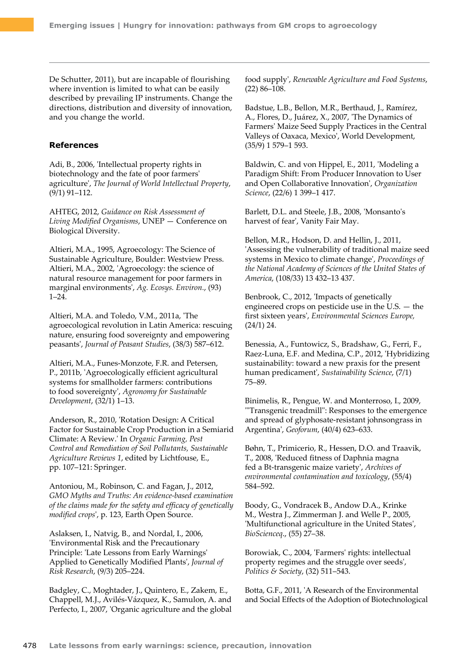De Schutter, 2011), but are incapable of flourishing where invention is limited to what can be easily described by prevailing IP instruments. Change the directions, distribution and diversity of innovation, and you change the world.

## **References**

Adi, B., 2006, 'Intellectual property rights in biotechnology and the fate of poor farmers' agriculture', *The Journal of World Intellectual Property*, (9/1) 91–112.

AHTEG, 2012, *Guidance on Risk Assessment of Living Modified Organisms*, UNEP — Conference on Biological Diversity.

Altieri, M.A., 1995, Agroecology: The Science of Sustainable Agriculture, Boulder: Westview Press. Altieri, M.A., 2002, 'Agroecology: the science of natural resource management for poor farmers in marginal environments', *Ag. Ecosys. Environ.*, (93) 1–24.

Altieri, M.A. and Toledo, V.M., 2011a, 'The agroecological revolution in Latin America: rescuing nature, ensuring food sovereignty and empowering peasants', *Journal of Peasant Studies*, (38/3) 587–612.

Altieri, M.A., Funes-Monzote, F.R. and Petersen, P., 2011b, 'Agroecologically efficient agricultural systems for smallholder farmers: contributions to food sovereignty', *Agronomy for Sustainable Development*, (32/1) 1–13.

Anderson, R., 2010, 'Rotation Design: A Critical Factor for Sustainable Crop Production in a Semiarid Climate: A Review.' In *Organic Farming, Pest Control and Remediation of Soil Pollutants, Sustainable Agriculture Reviews 1*, edited by Lichtfouse, E., pp. 107–121: Springer.

Antoniou, M., Robinson, C. and Fagan, J., 2012, *GMO Myths and Truths: An evidence-based examination of the claims made for the safety and efficacy of genetically modified crops*', p. 123, Earth Open Source.

Aslaksen, I., Natvig, B., and Nordal, I., 2006, 'Environmental Risk and the Precautionary Principle: 'Late Lessons from Early Warnings' Applied to Genetically Modified Plants', *Journal of Risk Research*, (9/3) 205–224.

Badgley, C., Moghtader, J., Quintero, E., Zakem, E., Chappell, M.J., Avilés-Vázquez, K., Samulon, A. and Perfecto, I., 2007, 'Organic agriculture and the global food supply', *Renewable Agriculture and Food Systems*, (22) 86–108.

Badstue, L.B., Bellon, M.R., Berthaud, J., Ramírez, A., Flores, D., Juárez, X., 2007, 'The Dynamics of Farmers' Maize Seed Supply Practices in the Central Valleys of Oaxaca, Mexico', World Development, (35/9) 1 579–1 593.

Baldwin, C. and von Hippel, E., 2011, 'Modeling a Paradigm Shift: From Producer Innovation to User and Open Collaborative Innovation', *Organization Science*, (22/6) 1 399–1 417.

Barlett, D.L. and Steele, J.B., 2008, 'Monsanto's harvest of fear', Vanity Fair May.

Bellon, M.R., Hodson, D. and Hellin, J., 2011, 'Assessing the vulnerability of traditional maize seed systems in Mexico to climate change', *Proceedings of the National Academy of Sciences of the United States of America*, (108/33) 13 432–13 437.

Benbrook, C., 2012, 'Impacts of genetically engineered crops on pesticide use in the U.S. — the first sixteen years', *Environmental Sciences Europe,* (24/1) 24.

Benessia, A., Funtowicz, S., Bradshaw, G., Ferri, F., Raez-Luna, E.F. and Medina, C.P., 2012, 'Hybridizing sustainability: toward a new praxis for the present human predicament', *Sustainability Science*, (7/1) 75–89.

Binimelis, R., Pengue, W. and Monterroso, I., 2009, '"Transgenic treadmill": Responses to the emergence and spread of glyphosate-resistant johnsongrass in Argentina', *Geoforum*, (40/4) 623–633.

Bøhn, T., Primicerio, R., Hessen, D.O. and Traavik, T., 2008, 'Reduced fitness of Daphnia magna fed a Bt-transgenic maize variety', *Archives of environmental contamination and toxicology*, (55/4) 584–592.

Boody, G., Vondracek B., Andow D.A., Krinke M., Westra J., Zimmerman J. and Welle P., 2005, 'Multifunctional agriculture in the United States', *BioScienceq*., (55) 27–38.

Borowiak, C., 2004, 'Farmers' rights: intellectual property regimes and the struggle over seeds', *Politics & Society*, (32) 511–543.

Botta, G.F., 2011, 'A Research of the Environmental and Social Effects of the Adoption of Biotechnological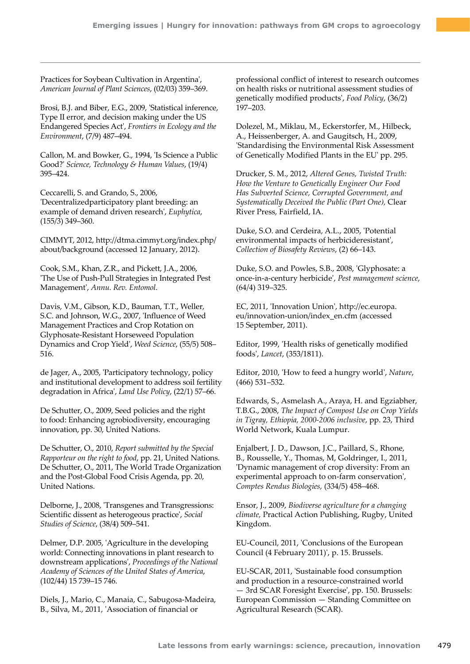Practices for Soybean Cultivation in Argentina', *American Journal of Plant Sciences*, (02/03) 359–369.

Brosi, B.J. and Biber, E.G., 2009, 'Statistical inference, Type II error, and decision making under the US Endangered Species Act', *Frontiers in Ecology and the Environment*, (7/9) 487–494.

Callon, M. and Bowker, G., 1994, 'Is Science a Public Good?' *Science, Technology & Human Values*, (19/4) 395–424.

Ceccarelli, S. and Grando, S., 2006, 'Decentralizedparticipatory plant breeding: an example of demand driven research', *Euphytica*, (155/3) 349–360.

CIMMYT, 2012, http://dtma.cimmyt.org/index.php/ about/background (accessed 12 January, 2012).

Cook, S.M., Khan, Z.R., and Pickett, J.A., 2006, 'The Use of Push-Pull Strategies in Integrated Pest Management', *Annu. Rev. Entomol*.

Davis, V.M., Gibson, K.D., Bauman, T.T., Weller, S.C. and Johnson, W.G., 2007, 'Influence of Weed Management Practices and Crop Rotation on Glyphosate-Resistant Horseweed Population Dynamics and Crop Yield', *Weed Science*, (55/5) 508– 516.

de Jager, A., 2005, 'Participatory technology, policy and institutional development to address soil fertility degradation in Africa', *Land Use Policy*, (22/1) 57–66.

De Schutter, O., 2009, Seed policies and the right to food: Enhancing agrobiodiversity, encouraging innovation, pp. 30, United Nations.

De Schutter, O., 2010, *Report submitted by the Special Rapporteur on the right to food*, pp. 21, United Nations. De Schutter, O., 2011, The World Trade Organization and the Post-Global Food Crisis Agenda, pp. 20, United Nations.

Delborne, J., 2008, 'Transgenes and Transgressions: Scientific dissent as heterogeous practice', *Social Studies of Science*, (38/4) 509–541.

Delmer, D.P. 2005, 'Agriculture in the developing world: Connecting innovations in plant research to downstream applications', *Proceedings of the National Academy of Sciences of the United States of America*, (102/44) 15 739–15 746.

Diels, J., Mario, C., Manaia, C., Sabugosa-Madeira, B., Silva, M., 2011, 'Association of financial or

professional conflict of interest to research outcomes on health risks or nutritional assessment studies of genetically modified products', *Food Policy*, (36/2) 197–203.

Dolezel, M., Miklau, M., Eckerstorfer, M., Hilbeck, A., Heissenberger, A. and Gaugitsch, H., 2009, 'Standardising the Environmental Risk Assessment of Genetically Modified Plants in the EU' pp. 295.

Drucker, S. M., 2012, *Altered Genes, Twisted Truth: How the Venture to Genetically Engineer Our Food Has Subverted Science, Corrupted Government, and Systematically Deceived the Public (Part One),* Clear River Press, Fairfield, IA.

Duke, S.O. and Cerdeira, A.L., 2005, 'Potential environmental impacts of herbicideresistant', *Collection of Biosafety Reviews*, (2) 66–143.

Duke, S.O. and Powles, S.B., 2008, 'Glyphosate: a once-in-a-century herbicide', *Pest management science*, (64/4) 319–325.

EC, 2011, 'Innovation Union',<http://ec.europa>. eu/innovation-union/index\_en.cfm (accessed 15 September, 2011).

Editor, 1999, 'Health risks of genetically modified foods', *Lancet*, (353/1811).

Editor, 2010, 'How to feed a hungry world', *Nature*, (466) 531–532.

Edwards, S., Asmelash A., Araya, H. and Egziabher, T.B.G., 2008, *The Impact of Compost Use on Crop Yields in Tigray, Ethiopia, 2000-2006 inclusive*, pp. 23, Third World Network, Kuala Lumpur.

Enjalbert, J. D., Dawson, J.C., Paillard, S., Rhone, B., Rousselle, Y., Thomas, M, Goldringer, I., 2011, 'Dynamic management of crop diversity: From an experimental approach to on-farm conservation', *Comptes Rendus Biologies,* (334/5) 458–468.

Ensor, J., 2009, *Biodiverse agriculture for a changing climate,* Practical Action Publishing, Rugby, United Kingdom.

EU-Council, 2011, 'Conclusions of the European Council (4 February 2011)', p. 15. Brussels.

EU-SCAR, 2011, 'Sustainable food consumption and production in a resource-constrained world — 3rd SCAR Foresight Exercise', pp. 150. Brussels: European Commission — Standing Committee on Agricultural Research (SCAR).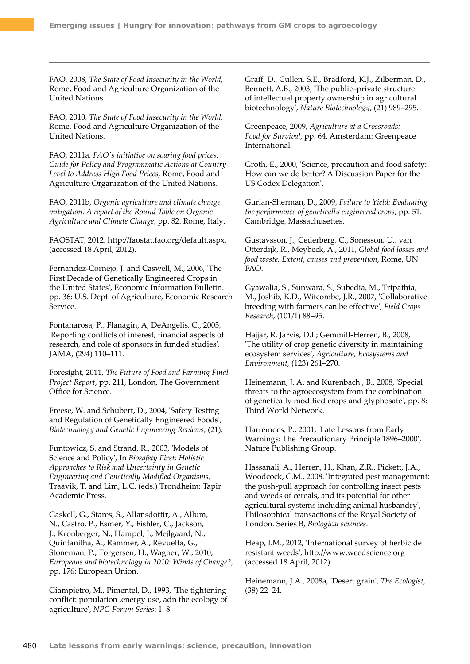FAO, 2008, *The State of Food Insecurity in the World*, Rome, Food and Agriculture Organization of the United Nations.

FAO, 2010, *The State of Food Insecurity in the World*, Rome, Food and Agriculture Organization of the United Nations.

FAO, 2011a, *FAO's initiative on soaring food prices. Guide for Policy and Programmatic Actions at Country Level to Address High Food Prices*, Rome, Food and Agriculture Organization of the United Nations.

FAO, 2011b, *Organic agriculture and climate change mitigation. A report of the Round Table on Organic Agriculture and Climate Change*, pp. 82. Rome, Italy.

FAOSTAT, 2012, [http://faostat.fao.org/default.aspx,](http://faostat.fao.org/default.aspx) (accessed 18 April, 2012).

Fernandez-Cornejo, J. and Caswell, M., 2006, 'The First Decade of Genetically Engineered Crops in the United States', Economic Information Bulletin. pp. 36: U.S. Dept. of Agriculture, Economic Research Service.

Fontanarosa, P., Flanagin, A, DeAngelis, C., 2005, 'Reporting conflicts of interest, financial aspects of research, and role of sponsors in funded studies', JAMA, (294) 110–111.

Foresight, 2011, *The Future of Food and Farming Final Project Report*, pp. 211, London, The Government Office for Science.

Freese, W. and Schubert, D., 2004, 'Safety Testing and Regulation of Genetically Engineered Foods', *Biotechnology and Genetic Engineering Reviews*, (21).

Funtowicz, S. and Strand, R., 2003, 'Models of Science and Policy', In *Biosafety First: Holistic Approaches to Risk and Uncertainty in Genetic Engineering and Genetically Modified Organisms*, Traavik, T. and Lim, L.C. (eds.) Trondheim: Tapir Academic Press.

Gaskell, G., Stares, S., Allansdottir, A., Allum, N., Castro, P., Esmer, Y., Fishler, C., Jackson, J., Kronberger, N., Hampel, J., Mejlgaard, N., Quintanilha, A., Rammer, A., Revuelta, G., Stoneman, P., Torgersen, H., Wagner, W., 2010, *Europeans and biotechnology in 2010: Winds of Change?*, pp. 176: European Union.

Giampietro, M., Pimentel, D., 1993, 'The tightening conflict: population ,energy use, adn the ecology of agriculture', *NPG Forum Series*: 1–8.

Graff, D., Cullen, S.E., Bradford, K.J., Zilberman, D., Bennett, A.B., 2003, 'The public–private structure of intellectual property ownership in agricultural biotechnology', *Nature Biotechnology*, (21) 989–295.

Greenpeace, 2009, *Agriculture at a Crossroads: Food for Survival*, pp. 64. Amsterdam: Greenpeace International.

Groth, E., 2000, 'Science, precaution and food safety: How can we do better? A Discussion Paper for the US Codex Delegation'.

Gurian-Sherman, D., 2009, *Failure to Yield: Evaluating the performance of genetically engineered crops*, pp. 51. Cambridge, Massachusettes.

Gustavsson, J., Cederberg, C., Sonesson, U., van Otterdijk, R., Meybeck, A., 2011, *Global food losses and food waste. Extent, causes and prevention*, Rome, UN FAO.

Gyawalia, S., Sunwara, S., Subedia, M., Tripathia, M., Joshib, K.D., Witcombe, J.R., 2007, 'Collaborative breeding with farmers can be effective', *Field Crops Research*, (101/1) 88–95.

Hajjar, R. Jarvis, D.I.; Gemmill-Herren, B., 2008, 'The utility of crop genetic diversity in maintaining ecosystem services', *Agriculture, Ecosystems and Environment,* (123) 261–270.

Heinemann, J. A. and Kurenbach., B., 2008, 'Special threats to the agroecosystem from the combination of genetically modified crops and glyphosate', pp. 8: Third World Network.

Harremoes, P., 2001, 'Late Lessons from Early Warnings: The Precautionary Principle 1896–2000', Nature Publishing Group.

Hassanali, A., Herren, H., Khan, Z.R., Pickett, J.A., Woodcock, C.M., 2008. 'Integrated pest management: the push-pull approach for controlling insect pests and weeds of cereals, and its potential for other agricultural systems including animal husbandry', Philosophical transactions of the Royal Society of London. Series B, *Biological sciences*.

Heap, I.M., 2012, 'International survey of herbicide resistant weeds', <http://www.weedscience.org> (accessed 18 April, 2012).

Heinemann, J.A., 2008a, 'Desert grain', *The Ecologist*, (38) 22–24.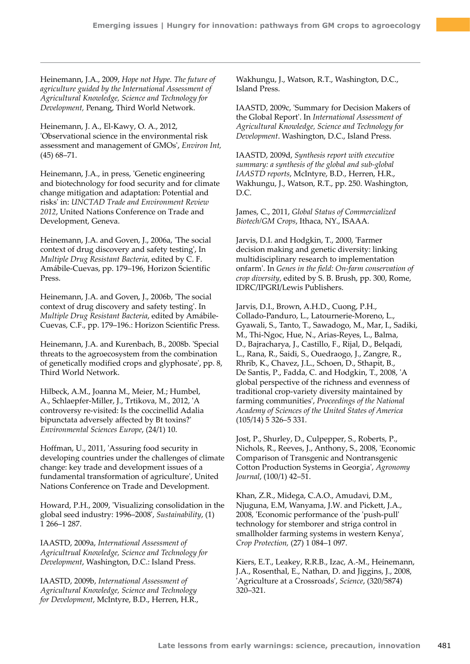Heinemann, J.A., 2009, *Hope not Hype. The future of agriculture guided by the International Assessment of Agricultural Knowledge, Science and Technology for Development,* Penang, Third World Network.

Heinemann, J. A., El-Kawy, O. A., 2012, 'Observational science in the environmental risk assessment and management of GMOs', *Environ Int,* (45) 68–71.

Heinemann, J.A., in press, 'Genetic engineering and biotechnology for food security and for climate change mitigation and adaptation: Potential and risks' in: *UNCTAD Trade and Environment Review 2012*, United Nations Conference on Trade and Development, Geneva.

Heinemann, J.A. and Goven, J., 2006a, 'The social context of drug discovery and safety testing', In *Multiple Drug Resistant Bacteria*, edited by C. F. Amábile-Cuevas, pp. 179–196, Horizon Scientific Press.

Heinemann, J.A. and Goven, J., 2006b, 'The social context of drug discovery and safety testing'. In *Multiple Drug Resistant Bacteria*, edited by Amábile-Cuevas, C.F., pp. 179–196.: Horizon Scientific Press.

Heinemann, J.A. and Kurenbach, B., 2008b. 'Special threats to the agroecosystem from the combination of genetically modified crops and glyphosate', pp. 8, Third World Network.

Hilbeck, A.M., Joanna M., Meier, M.; Humbel, A., Schlaepfer-Miller, J., Trtikova, M., 2012, 'A controversy re-visited: Is the coccinellid Adalia bipunctata adversely affected by Bt toxins?' *Environmental Sciences Europe*, (24/1) 10.

Hoffman, U., 2011, 'Assuring food security in developing countries under the challenges of climate change: key trade and development issues of a fundamental transformation of agriculture', United Nations Conference on Trade and Development.

Howard, P.H., 2009, 'Visualizing consolidation in the global seed industry: 1996–2008', *Sustainability*, (1) 1 266–1 287.

IAASTD, 2009a, *International Assessment of Agricultrual Knowledge, Science and Technology for Development*, Washington, D.C.: Island Press.

IAASTD, 2009b, *International Assessment of Agricultural Knowledge, Science and Technology for Development*, McIntyre, B.D., Herren, H.R.,

Wakhungu, J., Watson, R.T., Washington, D.C., Island Press.

IAASTD, 2009c, 'Summary for Decision Makers of the Global Report'. In *International Assessment of Agricultural Knowledge, Science and Technology for Development*. Washington, D.C., Island Press.

IAASTD, 2009d, *Synthesis report with executive summary: a synthesis of the global and sub-global IAASTD reports*, McIntyre, B.D., Herren, H.R., Wakhungu, J., Watson, R.T., pp. 250. Washington, D.C.

James, C., 2011, *Global Status of Commercialized Biotech/GM Crops*, Ithaca, NY., ISAAA.

Jarvis, D.I. and Hodgkin, T., 2000, 'Farmer decision making and genetic diversity: linking multidisciplinary research to implementation onfarm'. In *Genes in the field: On-farm conservation of crop diversity*, edited by S. B. Brush, pp. 300, Rome, IDRC/IPGRI/Lewis Publishers.

Jarvis, D.I., Brown, A.H.D., Cuong, P.H., Collado-Panduro, L., Latournerie-Moreno, L., Gyawali, S., Tanto, T., Sawadogo, M., Mar, I., Sadiki, M., Thi-Ngoc, Hue, N., Arias-Reyes, L., Balma, D., Bajracharya, J., Castillo, F., Rijal, D., Belqadi, L., Rana, R., Saidi, S., Ouedraogo, J., Zangre, R., Rhrib, K., Chavez, J.L., Schoen, D., Sthapit, B., De Santis, P., Fadda, C. and Hodgkin, T., 2008, 'A global perspective of the richness and evenness of traditional crop-variety diversity maintained by farming communities', *Proceedings of the National Academy of Sciences of the United States of America* (105/14) 5 326–5 331.

Jost, P., Shurley, D., Culpepper, S., Roberts, P., Nichols, R., Reeves, J., Anthony, S., 2008, 'Economic Comparison of Transgenic and Nontransgenic Cotton Production Systems in Georgia', *Agronomy Journal*, (100/1) 42–51.

Khan, Z.R., Midega, C.A.O., Amudavi, D.M., Njuguna, E.M, Wanyama, J.W. and Pickett, J.A., 2008, 'Economic performance of the 'push-pull' technology for stemborer and striga control in smallholder farming systems in western Kenya', *Crop Protection,* (27) 1 084–1 097.

Kiers, E.T., Leakey, R.R.B., Izac, A.-M., Heinemann, J.A., Rosenthal, E., Nathan, D. and Jiggins, J., 2008, 'Agriculture at a Crossroads', *Science*, (320/5874) 320–321.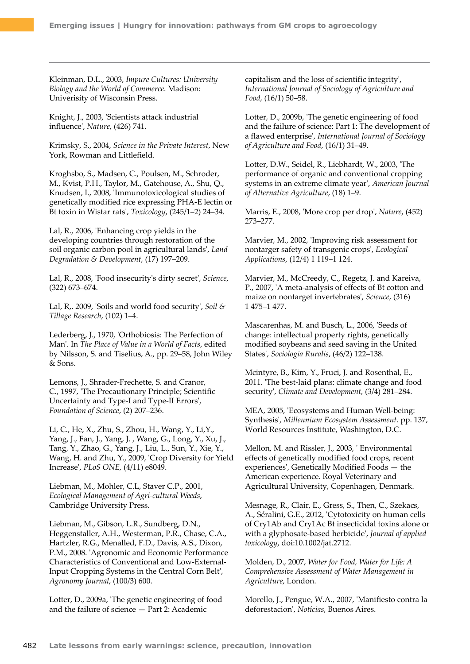Kleinman, D.L., 2003, *Impure Cultures: University Biology and the World of Commerce*. Madison: Univerisity of Wisconsin Press.

Knight, J., 2003, 'Scientists attack industrial influence', *Nature*, (426) 741.

Krimsky, S., 2004, *Science in the Private Interest*, New York, Rowman and Littlefield.

Kroghsbo, S., Madsen, C., Poulsen, M., Schroder, M., Kvist, P.H., Taylor, M., Gatehouse, A., Shu, Q., Knudsen, I., 2008, 'Immunotoxicological studies of genetically modified rice expressing PHA-E lectin or Bt toxin in Wistar rats', *Toxicology*, (245/1–2) 24–34.

Lal, R., 2006, 'Enhancing crop yields in the developing countries through restoration of the soil organic carbon pool in agricultural lands', *Land Degradation & Development*, (17) 197–209.

Lal, R., 2008, 'Food insecurity's dirty secret', *Science*, (322) 673–674.

Lal, R,. 2009, 'Soils and world food security', *Soil & Tillage Research*, (102) 1–4.

Lederberg, J., 1970, 'Orthobiosis: The Perfection of Man'. In *The Place of Value in a World of Facts*, edited by Nilsson, S. and Tiselius, A., pp. 29–58, John Wiley & Sons.

Lemons, J., Shrader-Frechette, S. and Cranor, C., 1997, 'The Precautionary Principle; Scientific Uncertainty and Type-I and Type-II Errors', *Foundation of Science*, (2) 207–236.

Li, C., He, X., Zhu, S., Zhou, H., Wang, Y., Li,Y., Yang, J., Fan, J., Yang, J. , Wang, G., Long, Y., Xu, J., Tang, Y., Zhao, G., Yang, J., Liu, L., Sun, Y., Xie, Y., Wang, H. and Zhu, Y., 2009, 'Crop Diversity for Yield Increase', *PLoS ONE,* (4/11) e8049.

Liebman, M., Mohler, C.L, Staver C.P., 2001, *Ecological Management of Agri-cultural Weeds*, Cambridge University Press.

Liebman, M., Gibson, L.R., Sundberg, D.N., Heggenstaller, A.H., Westerman, P.R., Chase, C.A., Hartzler, R.G., Menalled, F.D., Davis, A.S., Dixon, P.M., 2008. 'Agronomic and Economic Performance Characteristics of Conventional and Low-External-Input Cropping Systems in the Central Corn Belt', *Agronomy Journal*, (100/3) 600.

Lotter, D., 2009a, 'The genetic engineering of food and the failure of science — Part 2: Academic

capitalism and the loss of scientific integrity', *International Journal of Sociology of Agriculture and Food*, (16/1) 50–58.

Lotter, D., 2009b, 'The genetic engineering of food and the failure of science: Part 1: The development of a flawed enterprise', *International Journal of Sociology of Agriculture and Food*, (16/1) 31–49.

Lotter, D.W., Seidel, R., Liebhardt, W., 2003, 'The performance of organic and conventional cropping systems in an extreme climate year', *American Journal of Alternative Agriculture*, (18) 1–9.

Marris, E., 2008, 'More crop per drop', *Nature*, (452) 273–277.

Marvier, M., 2002, 'Improving risk assessment for nontarger safety of transgenic crops', *Ecological Applications*, (12/4) 1 119–1 124.

Marvier, M., McCreedy, C., Regetz, J. and Kareiva, P., 2007, 'A meta-analysis of effects of Bt cotton and maize on nontarget invertebrates', *Science*, (316) 1 475–1 477.

Mascarenhas, M. and Busch, L., 2006, 'Seeds of change: intellectual property rights, genetically modified soybeans and seed saving in the United States', *Sociologia Ruralis*, (46/2) 122–138.

Mcintyre, B., Kim, Y., Fruci, J. and Rosenthal, E., 2011. 'The best-laid plans: climate change and food security', *Climate and Development,* (3/4) 281–284.

MEA, 2005, 'Ecosystems and Human Well-being: Synthesis', *Millennium Ecosystem Assessment.* pp. 137, World Resources Institute, Washington, D.C.

Mellon, M. and Rissler, J., 2003, ' Environmental effects of genetically modified food crops, recent experiences', Genetically Modified Foods — the American experience. Royal Veterinary and Agricultural University, Copenhagen, Denmark.

Mesnage, R., Clair, E., Gress, S., Then, C., Szekacs, A., Séralini, G.E., 2012, 'Cytotoxicity on human cells of Cry1Ab and Cry1Ac Bt insecticidal toxins alone or with a glyphosate-based herbicide', *Journal of applied toxicology*, doi:10.1002/jat.2712.

Molden, D., 2007, *Water for Food, Water for Life: A Comprehensive Assessment of Water Management in Agriculture*, London.

Morello, J., Pengue, W.A., 2007, 'Manifiesto contra la deforestacion', *Notícias*, Buenos Aires.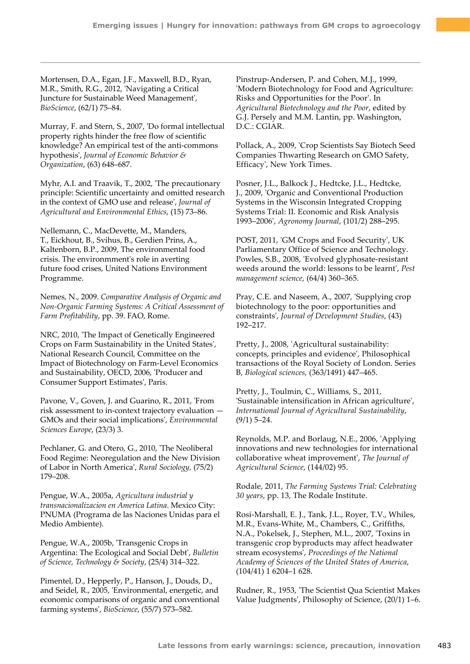Mortensen, D.A., Egan, J.F., Maxwell, B.D., Ryan, M.R., Smith, R.G., 2012, 'Navigating a Critical Juncture for Sustainable Weed Management', *BioScience*, (62/1) 75–84.

Murray, F. and Stern, S., 2007, 'Do formal intellectual property rights hinder the free flow of scientific knowledge? An empirical test of the anti-commons hypothesis', *Journal of Economic Behavior & Organization*, (63) 648–687.

Myhr, A.I. and Traavik, T., 2002, 'The precautionary principle: Scientific uncertainty and omitted research in the context of GMO use and release', *Journal of Agricultural and Environmental Ethics*, (15) 73–86.

Nellemann, C., MacDevette, M., Manders, T., Eickhout, B., Svihus, B., Gerdien Prins, A., Kaltenborn, B.P., 2009, The environmental food crisis. The environmment's role in averting future food crises, United Nations Environment Programme.

Nemes, N., 2009. *Comparative Analysis of Organic and Non-Organic Farming Systems: A Critical Assessment of Farm Profitability*, pp. 39. FAO, Rome.

NRC, 2010, 'The Impact of Genetically Engineered Crops on Farm Sustainability in the United States', National Research Council, Committee on the Impact of Biotechnology on Farm-Level Economics and Sustainability, OECD, 2006, 'Producer and Consumer Support Estimates', Paris.

Pavone, V., Goven, J. and Guarino, R., 2011, 'From risk assessment to in-context trajectory evaluation — GMOs and their social implications', *Environmental Sciences Europe*, (23/3) 3.

Pechlaner, G. and Otero, G., 2010, 'The Neoliberal Food Regime: Neoregulation and the New Division of Labor in North America', *Rural Sociology,* (75/2) 179–208.

Pengue, W.A., 2005a, *Agricultura industrial y transnacionalizacion en America Latina*. Mexico City: PNUMA (Programa de las Naciones Unidas para el Medio Ambiente).

Pengue, W.A., 2005b, 'Transgenic Crops in Argentina: The Ecological and Social Debt', *Bulletin of Science, Technology & Society*, (25/4) 314–322.

Pimentel, D., Hepperly, P., Hanson, J., Douds, D., and Seidel, R., 2005, 'Environmental, energetic, and economic comparisons of organic and conventional farming systems', *BioScience*, (55/7) 573–582.

Pinstrup-Andersen, P. and Cohen, M.J., 1999, 'Modern Biotechnology for Food and Agriculture: Risks and Opportunities for the Poor'. In *Agricultural Biotechnology and the Poor*, edited by G.J. Persely and M.M. Lantin, pp. Washington, D.C.: CGIAR.

Pollack, A., 2009, 'Crop Scientists Say Biotech Seed Companies Thwarting Research on GMO Safety, Efficacy', New York Times.

Posner, J.L., Balkock J., Hedtcke, J.L., Hedtcke, J., 2009, 'Organic and Conventional Production Systems in the Wisconsin Integrated Cropping Systems Trial: II. Economic and Risk Analysis 1993–2006', *Agronomy Journal*, (101/2) 288–295.

POST, 2011, 'GM Crops and Food Security', UK Parliamentary Office of Science and Technology. Powles, S.B., 2008, 'Evolved glyphosate-resistant weeds around the world: lessons to be learnt', *Pest management science*, (64/4) 360–365.

Pray, C.E. and Naseem, A., 2007, 'Supplying crop biotechnology to the poor: opportunities and constraints', *Journal of Development Studies*, (43) 192–217.

Pretty, J., 2008, 'Agricultural sustainability: concepts, principles and evidence', Philosophical transactions of the Royal Society of London. Series B, *Biological sciences,* (363/1491) 447–465.

Pretty, J., Toulmin, C., Williams, S., 2011, 'Sustainable intensification in African agriculture', *International Journal of Agricultural Sustainability*, (9/1) 5–24.

Reynolds, M.P. and Borlaug, N.E., 2006, 'Applying innovations and new technologies for international collaborative wheat improvement', *The Journal of Agricultural Science*, (144/02) 95.

Rodale, 2011, *The Farming Systems Trial: Celebrating 30 years*, pp. 13, The Rodale Institute.

Rosi-Marshall, E. J., Tank, J.L., Royer, T.V., Whiles, M.R., Evans-White, M., Chambers, C., Griffiths, N.A., Pokelsek, J., Stephen, M.L., 2007, 'Toxins in transgenic crop byproducts may affect headwater stream ecosystems', *Proceedings of the National Academy of Sciences of the United States of America*, (104/41) 1 6204–1 628.

Rudner, R., 1953, 'The Scientist Qua Scientist Makes Value Judgments', Philosophy of Science, (20/1) 1–6.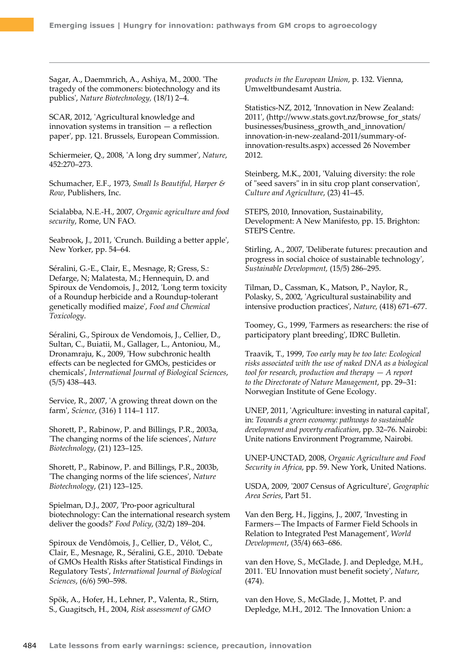Sagar, A., Daemmrich, A., Ashiya, M., 2000. 'The tragedy of the commoners: biotechnology and its publics', *Nature Biotechnology,* (18/1) 2–4.

SCAR, 2012, 'Agricultural knowledge and innovation systems in transition  $-$  a reflection paper', pp. 121. Brussels, European Commission.

Schiermeier, Q., 2008, 'A long dry summer', *Nature*, 452:270–273.

Schumacher, E.F., 1973, *Small Is Beautiful, Harper & Row*, Publishers, Inc.

Scialabba, N.E.-H., 2007, *Organic agriculture and food security*, Rome, UN FAO.

Seabrook, J., 2011, 'Crunch. Building a better apple', New Yorker, pp. 54–64.

Séralini, G.-E., Clair, E., Mesnage, R; Gress, S.: Defarge, N; Malatesta, M.; Hennequin, D. and Spiroux de Vendomois, J., 2012, 'Long term toxicity of a Roundup herbicide and a Roundup-tolerant genetically modified maize', *Food and Chemical Toxicology*.

Séralini, G., Spiroux de Vendomois, J., Cellier, D., Sultan, C., Buiatii, M., Gallager, L., Antoniou, M., Dronamraju, K., 2009, 'How subchronic health effects can be neglected for GMOs, pesticides or chemicals', *International Journal of Biological Sciences*, (5/5) 438–443.

Service, R., 2007, 'A growing threat down on the farm', *Science*, (316) 1 114–1 117.

Shorett, P., Rabinow, P. and Billings, P.R., 2003a, 'The changing norms of the life sciences', *Nature Biotechnology*, (21) 123–125.

Shorett, P., Rabinow, P. and Billings, P.R., 2003b, 'The changing norms of the life sciences', *Nature Biotechnology*, (21) 123–125.

Spielman, D.J., 2007, 'Pro-poor agricultural biotechnology: Can the international research system deliver the goods?' *Food Policy*, (32/2) 189–204.

Spiroux de Vendômois, J., Cellier, D., Vélot, C., Clair, E., Mesnage, R., Séralini, G.E., 2010. 'Debate of GMOs Health Risks after Statistical Findings in Regulatory Tests', *International Journal of Biological Sciences*, (6/6) 590–598.

Spök, A., Hofer, H., Lehner, P., Valenta, R., Stirn, S., Guagitsch, H., 2004, *Risk assessment of GMO* 

*products in the European Union*, p. 132. Vienna, Umweltbundesamt Austria.

Statistics-NZ, 2012, 'Innovation in New Zealand: 2011', ([http://www.stats.govt.nz/browse\\_for\\_stats/](http://www.stats.govt.nz/browse_for_stats/businesses/business_growth_and_innovation/innovation-in-new-zealand-2011/summary-of-innovation-results.aspx) [businesses/business\\_growth\\_and\\_innovation/](http://www.stats.govt.nz/browse_for_stats/businesses/business_growth_and_innovation/innovation-in-new-zealand-2011/summary-of-innovation-results.aspx) [innovation-in-new-zealand-2011/summary-of](http://www.stats.govt.nz/browse_for_stats/businesses/business_growth_and_innovation/innovation-in-new-zealand-2011/summary-of-innovation-results.aspx)[innovation-results.aspx\)](http://www.stats.govt.nz/browse_for_stats/businesses/business_growth_and_innovation/innovation-in-new-zealand-2011/summary-of-innovation-results.aspx) accessed 26 November 2012.

Steinberg, M.K., 2001, 'Valuing diversity: the role of "seed savers" in in situ crop plant conservation', *Culture and Agriculture*, (23) 41–45.

STEPS, 2010, Innovation, Sustainability, Development: A New Manifesto, pp. 15. Brighton: STEPS Centre.

Stirling, A., 2007, 'Deliberate futures: precaution and progress in social choice of sustainable technology', *Sustainable Development,* (15/5) 286–295.

Tilman, D., Cassman, K., Matson, P., Naylor, R., Polasky, S., 2002, 'Agricultural sustainability and intensive production practices', *Nature,* (418) 671–677.

Toomey, G., 1999, 'Farmers as researchers: the rise of participatory plant breeding', IDRC Bulletin.

Traavik, T., 1999, *Too early may be too late: Ecological risks associated with the use of naked DNA as a biological tool for research, production and therapy — A report to the Directorate of Nature Management*, pp. 29–31: Norwegian Institute of Gene Ecology.

UNEP, 2011, 'Agriculture: investing in natural capital', in: *Towards a green economy: pathways to sustainable development and poverty eradication*, pp. 32–76. Nairobi: Unite nations Environment Programme, Nairobi.

UNEP-UNCTAD, 2008, *Organic Agriculture and Food Security in Africa*, pp. 59. New York, United Nations.

USDA, 2009, '2007 Census of Agriculture', *Geographic Area Series*, Part 51.

Van den Berg, H., Jiggins, J., 2007, 'Investing in Farmers—The Impacts of Farmer Field Schools in Relation to Integrated Pest Management', *World Development*, (35/4) 663–686.

van den Hove, S., McGlade, J. and Depledge, M.H., 2011. 'EU Innovation must benefit society', *Nature*, (474).

van den Hove, S., McGlade, J., Mottet, P. and Depledge, M.H., 2012. 'The Innovation Union: a